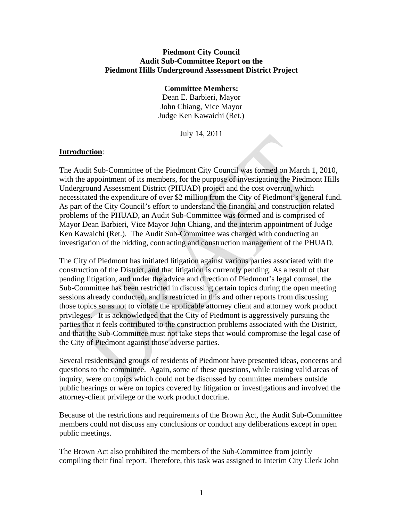# **Piedmont City Council Audit Sub-Committee Report on the Piedmont Hills Underground Assessment District Project**

#### **Committee Members:**

Dean E. Barbieri, Mayor John Chiang, Vice Mayor Judge Ken Kawaichi (Ret.)

July 14, 2011

## **Introduction**:

The Audit Sub-Committee of the Piedmont City Council was formed on March 1, 2010, with the appointment of its members, for the purpose of investigating the Piedmont Hills Underground Assessment District (PHUAD) project and the cost overrun, which necessitated the expenditure of over \$2 million from the City of Piedmont's general fund. As part of the City Council's effort to understand the financial and construction related problems of the PHUAD, an Audit Sub-Committee was formed and is comprised of Mayor Dean Barbieri, Vice Mayor John Chiang, and the interim appointment of Judge Ken Kawaichi (Ret.). The Audit Sub-Committee was charged with conducting an investigation of the bidding, contracting and construction management of the PHUAD.

The City of Piedmont has initiated litigation against various parties associated with the construction of the District, and that litigation is currently pending. As a result of that pending litigation, and under the advice and direction of Piedmont's legal counsel, the Sub-Committee has been restricted in discussing certain topics during the open meeting sessions already conducted, and is restricted in this and other reports from discussing those topics so as not to violate the applicable attorney client and attorney work product privileges. It is acknowledged that the City of Piedmont is aggressively pursuing the parties that it feels contributed to the construction problems associated with the District, and that the Sub-Committee must not take steps that would compromise the legal case of the City of Piedmont against those adverse parties.

Several residents and groups of residents of Piedmont have presented ideas, concerns and questions to the committee. Again, some of these questions, while raising valid areas of inquiry, were on topics which could not be discussed by committee members outside public hearings or were on topics covered by litigation or investigations and involved the attorney-client privilege or the work product doctrine.

Because of the restrictions and requirements of the Brown Act, the Audit Sub-Committee members could not discuss any conclusions or conduct any deliberations except in open public meetings.

The Brown Act also prohibited the members of the Sub-Committee from jointly compiling their final report. Therefore, this task was assigned to Interim City Clerk John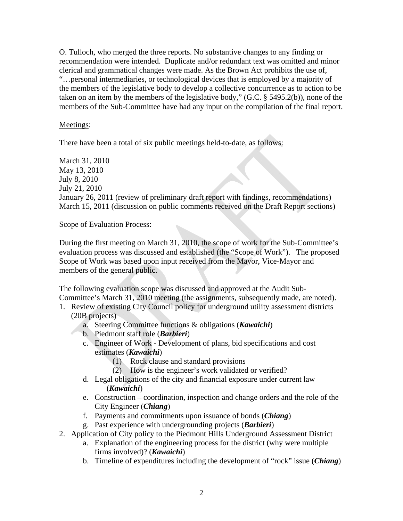O. Tulloch, who merged the three reports. No substantive changes to any finding or recommendation were intended. Duplicate and/or redundant text was omitted and minor clerical and grammatical changes were made. As the Brown Act prohibits the use of, "…personal intermediaries, or technological devices that is employed by a majority of the members of the legislative body to develop a collective concurrence as to action to be taken on an item by the members of the legislative body," (G.C. § 5495.2(b)), none of the members of the Sub-Committee have had any input on the compilation of the final report.

## Meetings:

There have been a total of six public meetings held-to-date, as follows:

March 31, 2010 May 13, 2010 July 8, 2010 July 21, 2010 January 26, 2011 (review of preliminary draft report with findings, recommendations) March 15, 2011 (discussion on public comments received on the Draft Report sections)

#### Scope of Evaluation Process:

During the first meeting on March 31, 2010, the scope of work for the Sub-Committee's evaluation process was discussed and established (the "Scope of Work"). The proposed Scope of Work was based upon input received from the Mayor, Vice-Mayor and members of the general public.

The following evaluation scope was discussed and approved at the Audit Sub-Committee's March 31, 2010 meeting (the assignments, subsequently made, are noted).

- 1. Review of existing City Council policy for underground utility assessment districts (20B projects)
	- a. Steering Committee functions & obligations (*Kawaichi*)
	- b. Piedmont staff role (*Barbieri*)
	- c. Engineer of Work Development of plans, bid specifications and cost estimates (*Kawaichi*)
		- (1) Rock clause and standard provisions
		- (2) How is the engineer's work validated or verified?
	- d. Legal obligations of the city and financial exposure under current law (*Kawaichi*)
	- e. Construction coordination, inspection and change orders and the role of the City Engineer (*Chiang*)
	- f. Payments and commitments upon issuance of bonds (*Chiang*)
	- g. Past experience with undergrounding projects (*Barbieri*)
- 2. Application of City policy to the Piedmont Hills Underground Assessment District
	- a. Explanation of the engineering process for the district (why were multiple firms involved)? (*Kawaichi*)
		- b. Timeline of expenditures including the development of "rock" issue (*Chiang*)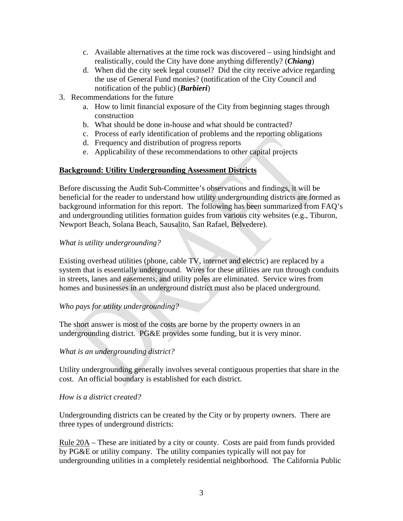- c. Available alternatives at the time rock was discovered using hindsight and realistically, could the City have done anything differently? (*Chiang*)
- d. When did the city seek legal counsel? Did the city receive advice regarding the use of General Fund monies? (notification of the City Council and notification of the public) (*Barbieri*)
- 3. Recommendations for the future
	- a. How to limit financial exposure of the City from beginning stages through construction
	- b. What should be done in-house and what should be contracted?
	- c. Process of early identification of problems and the reporting obligations
	- d. Frequency and distribution of progress reports
	- e. Applicability of these recommendations to other capital projects

# **Background: Utility Undergrounding Assessment Districts**

Before discussing the Audit Sub-Committee's observations and findings, it will be beneficial for the reader to understand how utility undergrounding districts are formed as background information for this report. The following has been summarized from FAQ's and undergrounding utilities formation guides from various city websites (e.g., Tiburon, Newport Beach, Solana Beach, Sausalito, San Rafael, Belvedere).

## *What is utility undergrounding?*

Existing overhead utilities (phone, cable TV, internet and electric) are replaced by a system that is essentially underground. Wires for these utilities are run through conduits in streets, lanes and easements, and utility poles are eliminated. Service wires from homes and businesses in an underground district must also be placed underground.

## *Who pays for utility undergrounding?*

The short answer is most of the costs are borne by the property owners in an undergrounding district. PG&E provides some funding, but it is very minor.

## *What is an undergrounding district?*

Utility undergrounding generally involves several contiguous properties that share in the cost. An official boundary is established for each district.

## *How is a district created?*

Undergrounding districts can be created by the City or by property owners. There are three types of underground districts:

Rule 20A – These are initiated by a city or county. Costs are paid from funds provided by PG&E or utility company. The utility companies typically will not pay for undergrounding utilities in a completely residential neighborhood. The California Public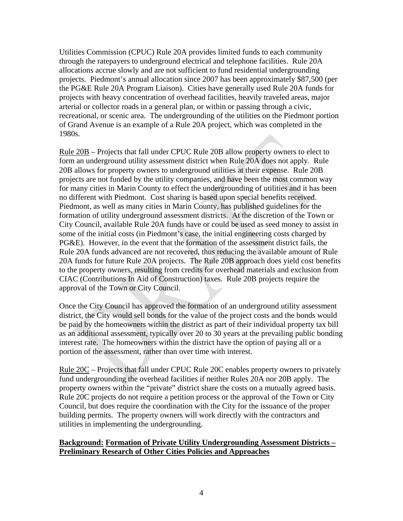Utilities Commission (CPUC) Rule 20A provides limited funds to each community through the ratepayers to underground electrical and telephone facilities. Rule 20A allocations accrue slowly and are not sufficient to fund residential undergrounding projects. Piedmont's annual allocation since 2007 has been approximately \$87,500 (per the PG&E Rule 20A Program Liaison). Cities have generally used Rule 20A funds for projects with heavy concentration of overhead facilities, heavily traveled areas, major arterial or collector roads in a general plan, or within or passing through a civic, recreational, or scenic area. The undergrounding of the utilities on the Piedmont portion of Grand Avenue is an example of a Rule 20A project, which was completed in the 1980s.

Rule 20B – Projects that fall under CPUC Rule 20B allow property owners to elect to form an underground utility assessment district when Rule 20A does not apply. Rule 20B allows for property owners to underground utilities at their expense. Rule 20B projects are not funded by the utility companies, and have been the most common way for many cities in Marin County to effect the undergrounding of utilities and it has been no different with Piedmont. Cost sharing is based upon special benefits received. Piedmont, as well as many cities in Marin County, has published guidelines for the formation of utility underground assessment districts. At the discretion of the Town or City Council, available Rule 20A funds have or could be used as seed money to assist in some of the initial costs (in Piedmont's case, the initial engineering costs charged by PG&E). However, in the event that the formation of the assessment district fails, the Rule 20A funds advanced are not recovered, thus reducing the available amount of Rule 20A funds for future Rule 20A projects. The Rule 20B approach does yield cost benefits to the property owners, resulting from credits for overhead materials and exclusion from CIAC (Contributions In Aid of Construction) taxes. Rule 20B projects require the approval of the Town or City Council.

Once the City Council has approved the formation of an underground utility assessment district, the City would sell bonds for the value of the project costs and the bonds would be paid by the homeowners within the district as part of their individual property tax bill as an additional assessment, typically over 20 to 30 years at the prevailing public bonding interest rate. The homeowners within the district have the option of paying all or a portion of the assessment, rather than over time with interest.

Rule 20C – Projects that fall under CPUC Rule 20C enables property owners to privately fund undergrounding the overhead facilities if neither Rules 20A nor 20B apply. The property owners within the "private" district share the costs on a mutually agreed basis. Rule 20C projects do not require a petition process or the approval of the Town or City Council, but does require the coordination with the City for the issuance of the proper building permits. The property owners will work directly with the contractors and utilities in implementing the undergrounding.

## **Background: Formation of Private Utility Undergrounding Assessment Districts – Preliminary Research of Other Cities Policies and Approaches**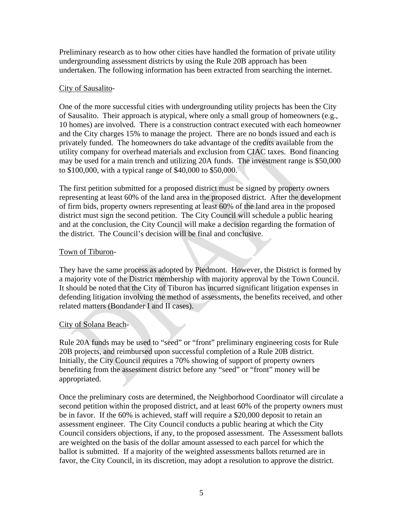Preliminary research as to how other cities have handled the formation of private utility undergrounding assessment districts by using the Rule 20B approach has been undertaken. The following information has been extracted from searching the internet.

## City of Sausalito-

One of the more successful cities with undergrounding utility projects has been the City of Sausalito. Their approach is atypical, where only a small group of homeowners (e.g., 10 homes) are involved. There is a construction contract executed with each homeowner and the City charges 15% to manage the project. There are no bonds issued and each is privately funded. The homeowners do take advantage of the credits available from the utility company for overhead materials and exclusion from CIAC taxes. Bond financing may be used for a main trench and utilizing 20A funds. The investment range is \$50,000 to \$100,000, with a typical range of \$40,000 to \$50,000.

The first petition submitted for a proposed district must be signed by property owners representing at least 60% of the land area in the proposed district. After the development of firm bids, property owners representing at least 60% of the land area in the proposed district must sign the second petition. The City Council will schedule a public hearing and at the conclusion, the City Council will make a decision regarding the formation of the district. The Council's decision will be final and conclusive.

# Town of Tiburon-

They have the same process as adopted by Piedmont. However, the District is formed by a majority vote of the District membership with majority approval by the Town Council. It should be noted that the City of Tiburon has incurred significant litigation expenses in defending litigation involving the method of assessments, the benefits received, and other related matters (Bondander I and II cases).

# City of Solana Beach-

Rule 20A funds may be used to "seed" or "front" preliminary engineering costs for Rule 20B projects, and reimbursed upon successful completion of a Rule 20B district. Initially, the City Council requires a 70% showing of support of property owners benefiting from the assessment district before any "seed" or "front" money will be appropriated.

Once the preliminary costs are determined, the Neighborhood Coordinator will circulate a second petition within the proposed district, and at least 60% of the property owners must be in favor. If the 60% is achieved, staff will require a \$20,000 deposit to retain an assessment engineer. The City Council conducts a public hearing at which the City Council considers objections, if any, to the proposed assessment. The Assessment ballots are weighted on the basis of the dollar amount assessed to each parcel for which the ballot is submitted. If a majority of the weighted assessments ballots returned are in favor, the City Council, in its discretion, may adopt a resolution to approve the district.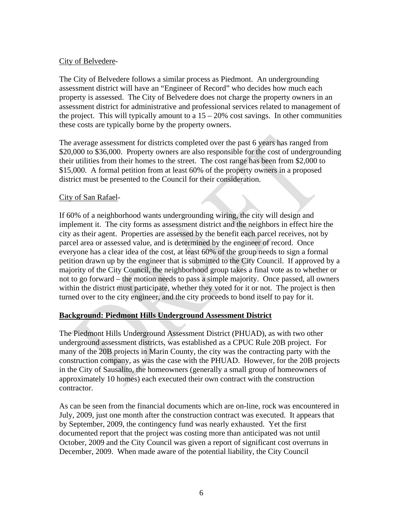# City of Belvedere-

The City of Belvedere follows a similar process as Piedmont. An undergrounding assessment district will have an "Engineer of Record" who decides how much each property is assessed. The City of Belvedere does not charge the property owners in an assessment district for administrative and professional services related to management of the project. This will typically amount to a  $15 - 20\%$  cost savings. In other communities these costs are typically borne by the property owners.

The average assessment for districts completed over the past 6 years has ranged from \$20,000 to \$36,000. Property owners are also responsible for the cost of undergrounding their utilities from their homes to the street. The cost range has been from \$2,000 to \$15,000. A formal petition from at least 60% of the property owners in a proposed district must be presented to the Council for their consideration.

# City of San Rafael-

If 60% of a neighborhood wants undergrounding wiring, the city will design and implement it. The city forms as assessment district and the neighbors in effect hire the city as their agent. Properties are assessed by the benefit each parcel receives, not by parcel area or assessed value, and is determined by the engineer of record. Once everyone has a clear idea of the cost, at least 60% of the group needs to sign a formal petition drawn up by the engineer that is submitted to the City Council. If approved by a majority of the City Council, the neighborhood group takes a final vote as to whether or not to go forward – the motion needs to pass a simple majority. Once passed, all owners within the district must participate, whether they voted for it or not. The project is then turned over to the city engineer, and the city proceeds to bond itself to pay for it.

# **Background: Piedmont Hills Underground Assessment District**

The Piedmont Hills Underground Assessment District (PHUAD), as with two other underground assessment districts, was established as a CPUC Rule 20B project. For many of the 20B projects in Marin County, the city was the contracting party with the construction company, as was the case with the PHUAD. However, for the 20B projects in the City of Sausalito, the homeowners (generally a small group of homeowners of approximately 10 homes) each executed their own contract with the construction contractor.

As can be seen from the financial documents which are on-line, rock was encountered in July, 2009, just one month after the construction contract was executed. It appears that by September, 2009, the contingency fund was nearly exhausted. Yet the first documented report that the project was costing more than anticipated was not until October, 2009 and the City Council was given a report of significant cost overruns in December, 2009. When made aware of the potential liability, the City Council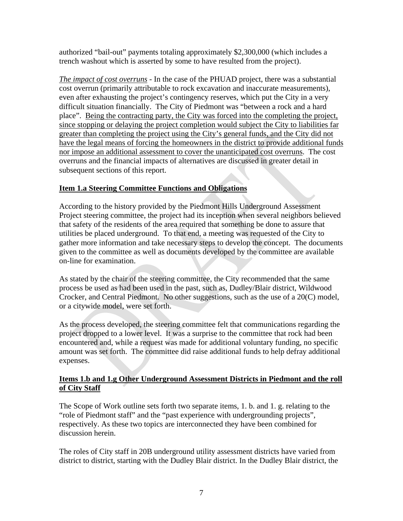authorized "bail-out" payments totaling approximately \$2,300,000 (which includes a trench washout which is asserted by some to have resulted from the project).

*The impact of cost overruns* - In the case of the PHUAD project, there was a substantial cost overrun (primarily attributable to rock excavation and inaccurate measurements), even after exhausting the project's contingency reserves, which put the City in a very difficult situation financially. The City of Piedmont was "between a rock and a hard place". Being the contracting party, the City was forced into the completing the project, since stopping or delaying the project completion would subject the City to liabilities far greater than completing the project using the City's general funds, and the City did not have the legal means of forcing the homeowners in the district to provide additional funds nor impose an additional assessment to cover the unanticipated cost overruns. The cost overruns and the financial impacts of alternatives are discussed in greater detail in subsequent sections of this report.

# **Item 1.a Steering Committee Functions and Obligations**

According to the history provided by the Piedmont Hills Underground Assessment Project steering committee, the project had its inception when several neighbors believed that safety of the residents of the area required that something be done to assure that utilities be placed underground. To that end, a meeting was requested of the City to gather more information and take necessary steps to develop the concept. The documents given to the committee as well as documents developed by the committee are available on-line for examination.

As stated by the chair of the steering committee, the City recommended that the same process be used as had been used in the past, such as, Dudley/Blair district, Wildwood Crocker, and Central Piedmont. No other suggestions, such as the use of a 20(C) model, or a citywide model, were set forth.

As the process developed, the steering committee felt that communications regarding the project dropped to a lower level. It was a surprise to the committee that rock had been encountered and, while a request was made for additional voluntary funding, no specific amount was set forth. The committee did raise additional funds to help defray additional expenses.

# **Items 1.b and 1.g Other Underground Assessment Districts in Piedmont and the roll of City Staff**

The Scope of Work outline sets forth two separate items, 1. b. and 1. g. relating to the "role of Piedmont staff" and the "past experience with undergrounding projects", respectively. As these two topics are interconnected they have been combined for discussion herein.

The roles of City staff in 20B underground utility assessment districts have varied from district to district, starting with the Dudley Blair district. In the Dudley Blair district, the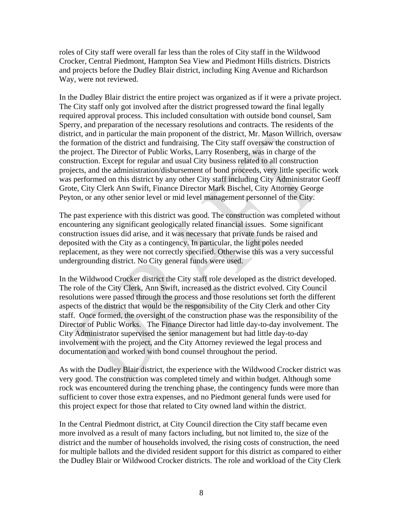roles of City staff were overall far less than the roles of City staff in the Wildwood Crocker, Central Piedmont, Hampton Sea View and Piedmont Hills districts. Districts and projects before the Dudley Blair district, including King Avenue and Richardson Way, were not reviewed.

In the Dudley Blair district the entire project was organized as if it were a private project. The City staff only got involved after the district progressed toward the final legally required approval process. This included consultation with outside bond counsel, Sam Sperry, and preparation of the necessary resolutions and contracts. The residents of the district, and in particular the main proponent of the district, Mr. Mason Willrich, oversaw the formation of the district and fundraising. The City staff oversaw the construction of the project. The Director of Public Works, Larry Rosenberg, was in charge of the construction. Except for regular and usual City business related to all construction projects, and the administration/disbursement of bond proceeds, very little specific work was performed on this district by any other City staff including City Administrator Geoff Grote, City Clerk Ann Swift, Finance Director Mark Bischel, City Attorney George Peyton, or any other senior level or mid level management personnel of the City.

The past experience with this district was good. The construction was completed without encountering any significant geologically related financial issues. Some significant construction issues did arise, and it was necessary that private funds be raised and deposited with the City as a contingency. In particular, the light poles needed replacement, as they were not correctly specified. Otherwise this was a very successful undergrounding district. No City general funds were used.

In the Wildwood Crocker district the City staff role developed as the district developed. The role of the City Clerk, Ann Swift, increased as the district evolved. City Council resolutions were passed through the process and those resolutions set forth the different aspects of the district that would be the responsibility of the City Clerk and other City staff. Once formed, the oversight of the construction phase was the responsibility of the Director of Public Works. The Finance Director had little day-to-day involvement. The City Administrator supervised the senior management but had little day-to-day involvement with the project, and the City Attorney reviewed the legal process and documentation and worked with bond counsel throughout the period.

As with the Dudley Blair district, the experience with the Wildwood Crocker district was very good. The construction was completed timely and within budget. Although some rock was encountered during the trenching phase, the contingency funds were more than sufficient to cover those extra expenses, and no Piedmont general funds were used for this project expect for those that related to City owned land within the district.

In the Central Piedmont district, at City Council direction the City staff became even more involved as a result of many factors including, but not limited to, the size of the district and the number of households involved, the rising costs of construction, the need for multiple ballots and the divided resident support for this district as compared to either the Dudley Blair or Wildwood Crocker districts. The role and workload of the City Clerk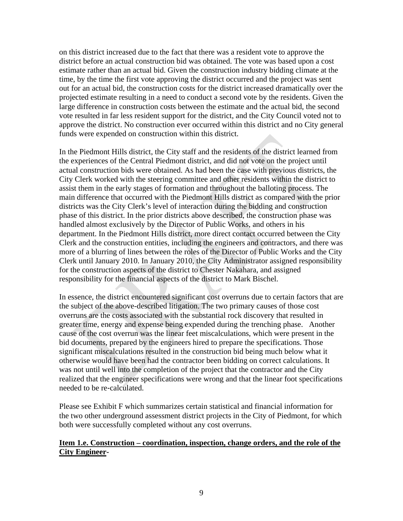on this district increased due to the fact that there was a resident vote to approve the district before an actual construction bid was obtained. The vote was based upon a cost estimate rather than an actual bid. Given the construction industry bidding climate at the time, by the time the first vote approving the district occurred and the project was sent out for an actual bid, the construction costs for the district increased dramatically over the projected estimate resulting in a need to conduct a second vote by the residents. Given the large difference in construction costs between the estimate and the actual bid, the second vote resulted in far less resident support for the district, and the City Council voted not to approve the district. No construction ever occurred within this district and no City general funds were expended on construction within this district.

In the Piedmont Hills district, the City staff and the residents of the district learned from the experiences of the Central Piedmont district, and did not vote on the project until actual construction bids were obtained. As had been the case with previous districts, the City Clerk worked with the steering committee and other residents within the district to assist them in the early stages of formation and throughout the balloting process. The main difference that occurred with the Piedmont Hills district as compared with the prior districts was the City Clerk's level of interaction during the bidding and construction phase of this district. In the prior districts above described, the construction phase was handled almost exclusively by the Director of Public Works, and others in his department. In the Piedmont Hills district, more direct contact occurred between the City Clerk and the construction entities, including the engineers and contractors, and there was more of a blurring of lines between the roles of the Director of Public Works and the City Clerk until January 2010. In January 2010, the City Administrator assigned responsibility for the construction aspects of the district to Chester Nakahara, and assigned responsibility for the financial aspects of the district to Mark Bischel.

In essence, the district encountered significant cost overruns due to certain factors that are the subject of the above-described litigation. The two primary causes of those cost overruns are the costs associated with the substantial rock discovery that resulted in greater time, energy and expense being expended during the trenching phase. Another cause of the cost overrun was the linear feet miscalculations, which were present in the bid documents, prepared by the engineers hired to prepare the specifications. Those significant miscalculations resulted in the construction bid being much below what it otherwise would have been had the contractor been bidding on correct calculations. It was not until well into the completion of the project that the contractor and the City realized that the engineer specifications were wrong and that the linear foot specifications needed to be re-calculated.

Please see Exhibit F which summarizes certain statistical and financial information for the two other underground assessment district projects in the City of Piedmont, for which both were successfully completed without any cost overruns.

# **Item 1.e. Construction – coordination, inspection, change orders, and the role of the City Engineer-**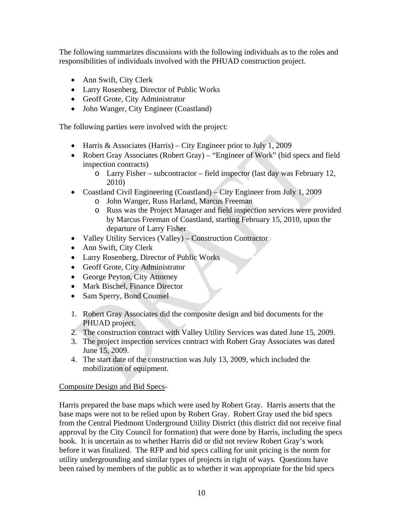The following summarizes discussions with the following individuals as to the roles and responsibilities of individuals involved with the PHUAD construction project.

- Ann Swift, City Clerk
- Larry Rosenberg, Director of Public Works
- Geoff Grote, City Administrator
- John Wanger, City Engineer (Coastland)

The following parties were involved with the project:

- Harris & Associates (Harris) City Engineer prior to July 1, 2009
- Robert Gray Associates (Robert Gray) "Engineer of Work" (bid specs and field inspection contracts)
	- o Larry Fisher subcontractor field inspector (last day was February 12, 2010)
- Coastland Civil Engineering (Coastland) City Engineer from July 1, 2009
	- o John Wanger, Russ Harland, Marcus Freeman
	- o Russ was the Project Manager and field inspection services were provided by Marcus Freeman of Coastland, starting February 15, 2010, upon the departure of Larry Fisher
- Valley Utility Services (Valley) Construction Contractor
- Ann Swift, City Clerk
- Larry Rosenberg, Director of Public Works
- Geoff Grote, City Administrator
- George Peyton, City Attorney
- Mark Bischel, Finance Director
- Sam Sperry, Bond Counsel
- 1. Robert Gray Associates did the composite design and bid documents for the PHUAD project.
- 2. The construction contract with Valley Utility Services was dated June 15, 2009.
- 3. The project inspection services contract with Robert Gray Associates was dated June 15, 2009.
- 4. The start date of the construction was July 13, 2009, which included the mobilization of equipment.

# Composite Design and Bid Specs-

Harris prepared the base maps which were used by Robert Gray. Harris asserts that the base maps were not to be relied upon by Robert Gray. Robert Gray used the bid specs from the Central Piedmont Underground Utility District (this district did not receive final approval by the City Council for formation) that were done by Harris, including the specs book. It is uncertain as to whether Harris did or did not review Robert Gray's work before it was finalized. The RFP and bid specs calling for unit pricing is the norm for utility undergrounding and similar types of projects in right of ways. Questions have been raised by members of the public as to whether it was appropriate for the bid specs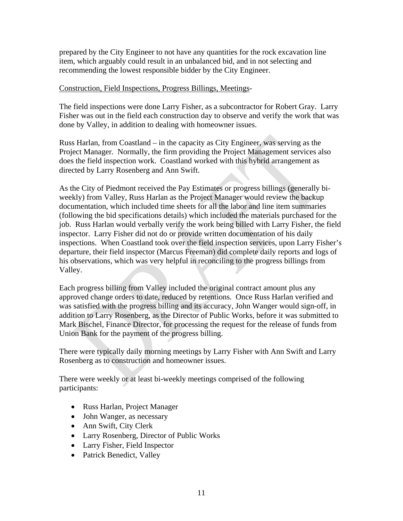prepared by the City Engineer to not have any quantities for the rock excavation line item, which arguably could result in an unbalanced bid, and in not selecting and recommending the lowest responsible bidder by the City Engineer.

## Construction, Field Inspections, Progress Billings, Meetings-

The field inspections were done Larry Fisher, as a subcontractor for Robert Gray. Larry Fisher was out in the field each construction day to observe and verify the work that was done by Valley, in addition to dealing with homeowner issues.

Russ Harlan, from Coastland – in the capacity as City Engineer, was serving as the Project Manager. Normally, the firm providing the Project Management services also does the field inspection work. Coastland worked with this hybrid arrangement as directed by Larry Rosenberg and Ann Swift.

As the City of Piedmont received the Pay Estimates or progress billings (generally biweekly) from Valley, Russ Harlan as the Project Manager would review the backup documentation, which included time sheets for all the labor and line item summaries (following the bid specifications details) which included the materials purchased for the job. Russ Harlan would verbally verify the work being billed with Larry Fisher, the field inspector. Larry Fisher did not do or provide written documentation of his daily inspections. When Coastland took over the field inspection services, upon Larry Fisher's departure, their field inspector (Marcus Freeman) did complete daily reports and logs of his observations, which was very helpful in reconciling to the progress billings from Valley.

Each progress billing from Valley included the original contract amount plus any approved change orders to date, reduced by retentions. Once Russ Harlan verified and was satisfied with the progress billing and its accuracy, John Wanger would sign-off, in addition to Larry Rosenberg, as the Director of Public Works, before it was submitted to Mark Bischel, Finance Director, for processing the request for the release of funds from Union Bank for the payment of the progress billing.

There were typically daily morning meetings by Larry Fisher with Ann Swift and Larry Rosenberg as to construction and homeowner issues.

There were weekly or at least bi-weekly meetings comprised of the following participants:

- Russ Harlan, Project Manager
- John Wanger, as necessary
- Ann Swift, City Clerk
- Larry Rosenberg, Director of Public Works
- Larry Fisher, Field Inspector
- Patrick Benedict, Valley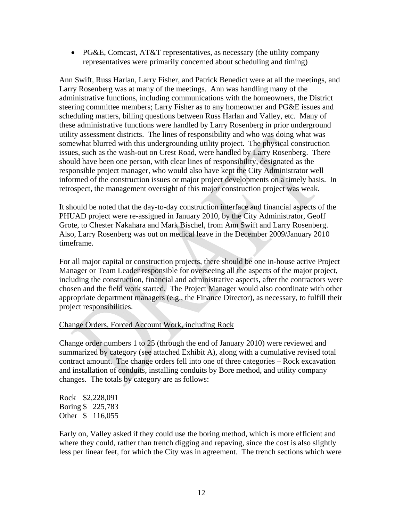• PG&E, Comcast, AT&T representatives, as necessary (the utility company representatives were primarily concerned about scheduling and timing)

Ann Swift, Russ Harlan, Larry Fisher, and Patrick Benedict were at all the meetings, and Larry Rosenberg was at many of the meetings. Ann was handling many of the administrative functions, including communications with the homeowners, the District steering committee members; Larry Fisher as to any homeowner and PG&E issues and scheduling matters, billing questions between Russ Harlan and Valley, etc. Many of these administrative functions were handled by Larry Rosenberg in prior underground utility assessment districts. The lines of responsibility and who was doing what was somewhat blurred with this undergrounding utility project. The physical construction issues, such as the wash-out on Crest Road, were handled by Larry Rosenberg. There should have been one person, with clear lines of responsibility, designated as the responsible project manager, who would also have kept the City Administrator well informed of the construction issues or major project developments on a timely basis. In retrospect, the management oversight of this major construction project was weak.

It should be noted that the day-to-day construction interface and financial aspects of the PHUAD project were re-assigned in January 2010, by the City Administrator, Geoff Grote, to Chester Nakahara and Mark Bischel, from Ann Swift and Larry Rosenberg. Also, Larry Rosenberg was out on medical leave in the December 2009/January 2010 timeframe.

For all major capital or construction projects, there should be one in-house active Project Manager or Team Leader responsible for overseeing all the aspects of the major project, including the construction, financial and administrative aspects, after the contractors were chosen and the field work started. The Project Manager would also coordinate with other appropriate department managers (e.g., the Finance Director), as necessary, to fulfill their project responsibilities.

## Change Orders, Forced Account Work, including Rock

Change order numbers 1 to 25 (through the end of January 2010) were reviewed and summarized by category (see attached Exhibit A), along with a cumulative revised total contract amount. The change orders fell into one of three categories – Rock excavation and installation of conduits, installing conduits by Bore method, and utility company changes. The totals by category are as follows:

Rock \$2,228,091 Boring \$ 225,783 Other \$ 116,055

Early on, Valley asked if they could use the boring method, which is more efficient and where they could, rather than trench digging and repaving, since the cost is also slightly less per linear feet, for which the City was in agreement. The trench sections which were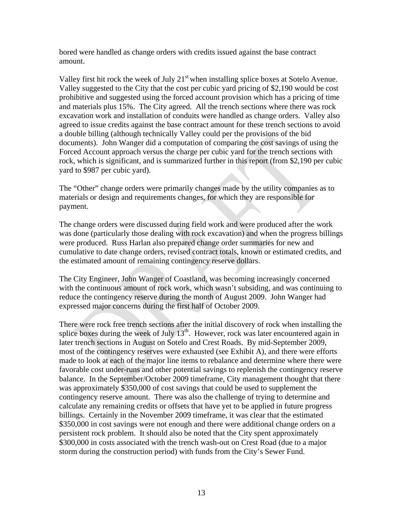bored were handled as change orders with credits issued against the base contract amount.

Valley first hit rock the week of July  $21<sup>st</sup>$  when installing splice boxes at Sotelo Avenue. Valley suggested to the City that the cost per cubic yard pricing of \$2,190 would be cost prohibitive and suggested using the forced account provision which has a pricing of time and materials plus 15%. The City agreed. All the trench sections where there was rock excavation work and installation of conduits were handled as change orders. Valley also agreed to issue credits against the base contract amount for these trench sections to avoid a double billing (although technically Valley could per the provisions of the bid documents). John Wanger did a computation of comparing the cost savings of using the Forced Account approach versus the charge per cubic yard for the trench sections with rock, which is significant, and is summarized further in this report (from \$2,190 per cubic yard to \$987 per cubic yard).

The "Other" change orders were primarily changes made by the utility companies as to materials or design and requirements changes, for which they are responsible for payment.

The change orders were discussed during field work and were produced after the work was done (particularly those dealing with rock excavation) and when the progress billings were produced. Russ Harlan also prepared change order summaries for new and cumulative to date change orders, revised contract totals, known or estimated credits, and the estimated amount of remaining contingency reserve dollars.

The City Engineer, John Wanger of Coastland, was becoming increasingly concerned with the continuous amount of rock work, which wasn't subsiding, and was continuing to reduce the contingency reserve during the month of August 2009. John Wanger had expressed major concerns during the first half of October 2009.

There were rock free trench sections after the initial discovery of rock when installing the splice boxes during the week of July  $13<sup>th</sup>$ . However, rock was later encountered again in later trench sections in August on Sotelo and Crest Roads. By mid-September 2009, most of the contingency reserves were exhausted (see Exhibit A), and there were efforts made to look at each of the major line items to rebalance and determine where there were favorable cost under-runs and other potential savings to replenish the contingency reserve balance. In the September/October 2009 timeframe, City management thought that there was approximately \$350,000 of cost savings that could be used to supplement the contingency reserve amount. There was also the challenge of trying to determine and calculate any remaining credits or offsets that have yet to be applied in future progress billings. Certainly in the November 2009 timeframe, it was clear that the estimated \$350,000 in cost savings were not enough and there were additional change orders on a persistent rock problem. It should also be noted that the City spent approximately \$300,000 in costs associated with the trench wash-out on Crest Road (due to a major storm during the construction period) with funds from the City's Sewer Fund.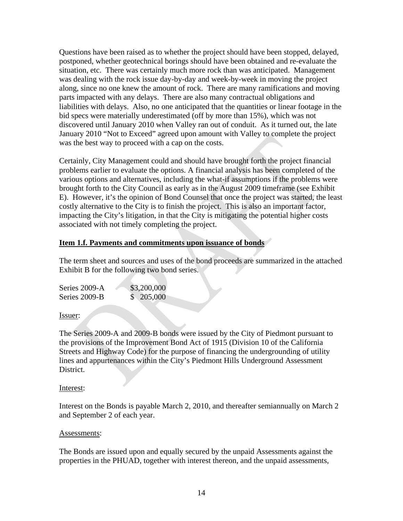Questions have been raised as to whether the project should have been stopped, delayed, postponed, whether geotechnical borings should have been obtained and re-evaluate the situation, etc. There was certainly much more rock than was anticipated. Management was dealing with the rock issue day-by-day and week-by-week in moving the project along, since no one knew the amount of rock. There are many ramifications and moving parts impacted with any delays. There are also many contractual obligations and liabilities with delays. Also, no one anticipated that the quantities or linear footage in the bid specs were materially underestimated (off by more than 15%), which was not discovered until January 2010 when Valley ran out of conduit. As it turned out, the late January 2010 "Not to Exceed" agreed upon amount with Valley to complete the project was the best way to proceed with a cap on the costs.

Certainly, City Management could and should have brought forth the project financial problems earlier to evaluate the options. A financial analysis has been completed of the various options and alternatives, including the what-if assumptions if the problems were brought forth to the City Council as early as in the August 2009 timeframe (see Exhibit E). However, it's the opinion of Bond Counsel that once the project was started, the least costly alternative to the City is to finish the project. This is also an important factor, impacting the City's litigation, in that the City is mitigating the potential higher costs associated with not timely completing the project.

# **Item 1.f. Payments and commitments upon issuance of bonds**

The term sheet and sources and uses of the bond proceeds are summarized in the attached Exhibit B for the following two bond series.

| Series 2009-A | \$3,200,000 |
|---------------|-------------|
| Series 2009-B | \$205,000   |

Issuer:

The Series 2009-A and 2009-B bonds were issued by the City of Piedmont pursuant to the provisions of the Improvement Bond Act of 1915 (Division 10 of the California Streets and Highway Code) for the purpose of financing the undergrounding of utility lines and appurtenances within the City's Piedmont Hills Underground Assessment District.

## Interest:

Interest on the Bonds is payable March 2, 2010, and thereafter semiannually on March 2 and September 2 of each year.

#### Assessments:

The Bonds are issued upon and equally secured by the unpaid Assessments against the properties in the PHUAD, together with interest thereon, and the unpaid assessments,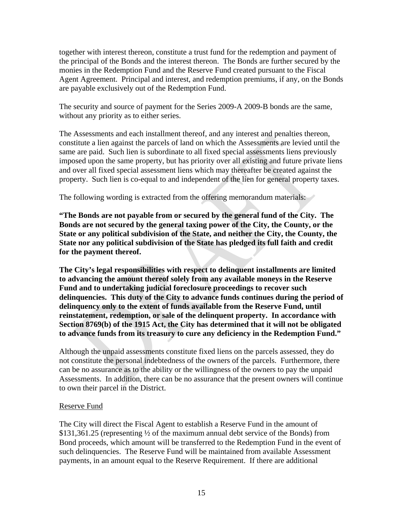together with interest thereon, constitute a trust fund for the redemption and payment of the principal of the Bonds and the interest thereon. The Bonds are further secured by the monies in the Redemption Fund and the Reserve Fund created pursuant to the Fiscal Agent Agreement. Principal and interest, and redemption premiums, if any, on the Bonds are payable exclusively out of the Redemption Fund.

The security and source of payment for the Series 2009-A 2009-B bonds are the same, without any priority as to either series.

The Assessments and each installment thereof, and any interest and penalties thereon, constitute a lien against the parcels of land on which the Assessments are levied until the same are paid. Such lien is subordinate to all fixed special assessments liens previously imposed upon the same property, but has priority over all existing and future private liens and over all fixed special assessment liens which may thereafter be created against the property. Such lien is co-equal to and independent of the lien for general property taxes.

The following wording is extracted from the offering memorandum materials:

**"The Bonds are not payable from or secured by the general fund of the City. The Bonds are not secured by the general taxing power of the City, the County, or the State or any political subdivision of the State, and neither the City, the County, the State nor any political subdivision of the State has pledged its full faith and credit for the payment thereof.** 

**The City's legal responsibilities with respect to delinquent installments are limited to advancing the amount thereof solely from any available moneys in the Reserve Fund and to undertaking judicial foreclosure proceedings to recover such delinquencies. This duty of the City to advance funds continues during the period of delinquency only to the extent of funds available from the Reserve Fund, until reinstatement, redemption, or sale of the delinquent property. In accordance with Section 8769(b) of the 1915 Act, the City has determined that it will not be obligated to advance funds from its treasury to cure any deficiency in the Redemption Fund."**

Although the unpaid assessments constitute fixed liens on the parcels assessed, they do not constitute the personal indebtedness of the owners of the parcels. Furthermore, there can be no assurance as to the ability or the willingness of the owners to pay the unpaid Assessments. In addition, there can be no assurance that the present owners will continue to own their parcel in the District.

# Reserve Fund

The City will direct the Fiscal Agent to establish a Reserve Fund in the amount of \$131,361.25 (representing ½ of the maximum annual debt service of the Bonds) from Bond proceeds, which amount will be transferred to the Redemption Fund in the event of such delinquencies. The Reserve Fund will be maintained from available Assessment payments, in an amount equal to the Reserve Requirement. If there are additional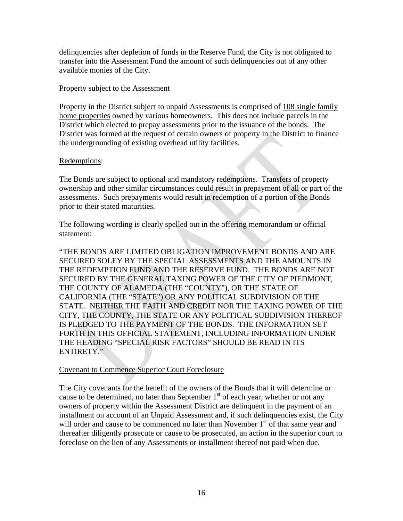delinquencies after depletion of funds in the Reserve Fund, the City is not obligated to transfer into the Assessment Fund the amount of such delinquencies out of any other available monies of the City.

## Property subject to the Assessment

Property in the District subject to unpaid Assessments is comprised of 108 single family home properties owned by various homeowners. This does not include parcels in the District which elected to prepay assessments prior to the issuance of the bonds. The District was formed at the request of certain owners of property in the District to finance the undergrounding of existing overhead utility facilities.

## Redemptions:

The Bonds are subject to optional and mandatory redemptions. Transfers of property ownership and other similar circumstances could result in prepayment of all or part of the assessments. Such prepayments would result in redemption of a portion of the Bonds prior to their stated maturities.

The following wording is clearly spelled out in the offering memorandum or official statement:

"THE BONDS ARE LIMITED OBLIGATION IMPROVEMENT BONDS AND ARE SECURED SOLEY BY THE SPECIAL ASSESSMENTS AND THE AMOUNTS IN THE REDEMPTION FUND AND THE RESERVE FUND. THE BONDS ARE NOT SECURED BY THE GENERAL TAXING POWER OF THE CITY OF PIEDMONT, THE COUNTY OF ALAMEDA (THE "COUNTY"), OR THE STATE OF CALIFORNIA (THE "STATE") OR ANY POLITICAL SUBDIVISION OF THE STATE. NEITHER THE FAITH AND CREDIT NOR THE TAXING POWER OF THE CITY, THE COUNTY, THE STATE OR ANY POLITICAL SUBDIVISION THEREOF IS PLEDGED TO THE PAYMENT OF THE BONDS. THE INFORMATION SET FORTH IN THIS OFFICIAL STATEMENT, INCLUDING INFORMATION UNDER THE HEADING "SPECIAL RISK FACTORS" SHOULD BE READ IN ITS ENTIRETY."

## Covenant to Commence Superior Court Foreclosure

The City covenants for the benefit of the owners of the Bonds that it will determine or cause to be determined, no later than September  $1<sup>st</sup>$  of each year, whether or not any owners of property within the Assessment District are delinquent in the payment of an installment on account of an Unpaid Assessment and, if such delinquencies exist, the City will order and cause to be commenced no later than November  $1<sup>st</sup>$  of that same year and thereafter diligently prosecute or cause to be prosecuted, an action in the superior court to foreclose on the lien of any Assessments or installment thereof not paid when due.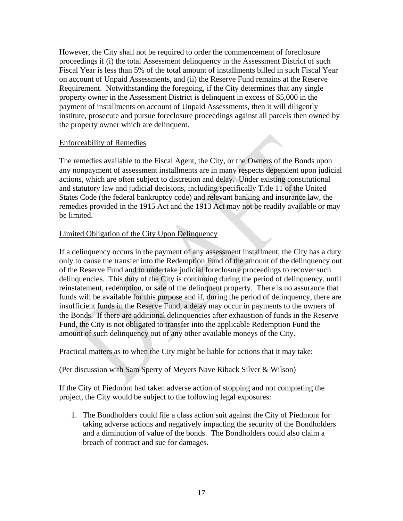However, the City shall not be required to order the commencement of foreclosure proceedings if (i) the total Assessment delinquency in the Assessment District of such Fiscal Year is less than 5% of the total amount of installments billed in such Fiscal Year on account of Unpaid Assessments, and (ii) the Reserve Fund remains at the Reserve Requirement. Notwithstanding the foregoing, if the City determines that any single property owner in the Assessment District is delinquent in excess of \$5,000 in the payment of installments on account of Unpaid Assessments, then it will diligently institute, prosecute and pursue foreclosure proceedings against all parcels then owned by the property owner which are delinquent.

## Enforceability of Remedies

The remedies available to the Fiscal Agent, the City, or the Owners of the Bonds upon any nonpayment of assessment installments are in many respects dependent upon judicial actions, which are often subject to discretion and delay. Under existing constitutional and statutory law and judicial decisions, including specifically Title 11 of the United States Code (the federal bankruptcy code) and relevant banking and insurance law, the remedies provided in the 1915 Act and the 1913 Act may not be readily available or may be limited.

## Limited Obligation of the City Upon Delinquency

If a delinquency occurs in the payment of any assessment installment, the City has a duty only to cause the transfer into the Redemption Fund of the amount of the delinquency out of the Reserve Fund and to undertake judicial foreclosure proceedings to recover such delinquencies. This duty of the City is continuing during the period of delinquency, until reinstatement, redemption, or sale of the delinquent property. There is no assurance that funds will be available for this purpose and if, during the period of delinquency, there are insufficient funds in the Reserve Fund, a delay may occur in payments to the owners of the Bonds. If there are additional delinquencies after exhaustion of funds in the Reserve Fund, the City is not obligated to transfer into the applicable Redemption Fund the amount of such delinquency out of any other available moneys of the City.

## Practical matters as to when the City might be liable for actions that it may take:

(Per discussion with Sam Sperry of Meyers Nave Riback Silver & Wilson)

If the City of Piedmont had taken adverse action of stopping and not completing the project, the City would be subject to the following legal exposures:

1. The Bondholders could file a class action suit against the City of Piedmont for taking adverse actions and negatively impacting the security of the Bondholders and a diminution of value of the bonds. The Bondholders could also claim a breach of contract and sue for damages.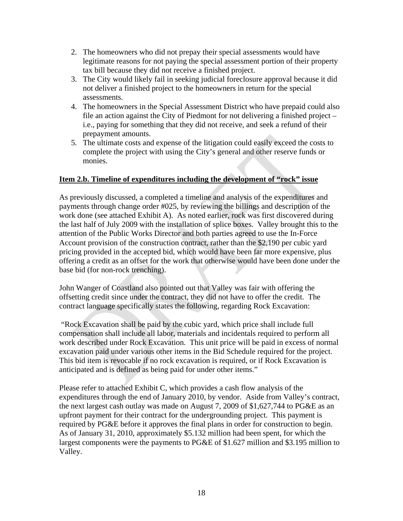- 2. The homeowners who did not prepay their special assessments would have legitimate reasons for not paying the special assessment portion of their property tax bill because they did not receive a finished project.
- 3. The City would likely fail in seeking judicial foreclosure approval because it did not deliver a finished project to the homeowners in return for the special assessments.
- 4. The homeowners in the Special Assessment District who have prepaid could also file an action against the City of Piedmont for not delivering a finished project – i.e., paying for something that they did not receive, and seek a refund of their prepayment amounts.
- 5. The ultimate costs and expense of the litigation could easily exceed the costs to complete the project with using the City's general and other reserve funds or monies.

# **Item 2.b. Timeline of expenditures including the development of "rock" issue**

As previously discussed, a completed a timeline and analysis of the expenditures and payments through change order #025, by reviewing the billings and description of the work done (see attached Exhibit A). As noted earlier, rock was first discovered during the last half of July 2009 with the installation of splice boxes. Valley brought this to the attention of the Public Works Director and both parties agreed to use the In-Force Account provision of the construction contract, rather than the \$2,190 per cubic yard pricing provided in the accepted bid, which would have been far more expensive, plus offering a credit as an offset for the work that otherwise would have been done under the base bid (for non-rock trenching).

John Wanger of Coastland also pointed out that Valley was fair with offering the offsetting credit since under the contract, they did not have to offer the credit. The contract language specifically states the following, regarding Rock Excavation:

 "Rock Excavation shall be paid by the cubic yard, which price shall include full compensation shall include all labor, materials and incidentals required to perform all work described under Rock Excavation. This unit price will be paid in excess of normal excavation paid under various other items in the Bid Schedule required for the project. This bid item is revocable if no rock excavation is required, or if Rock Excavation is anticipated and is defined as being paid for under other items."

Please refer to attached Exhibit C, which provides a cash flow analysis of the expenditures through the end of January 2010, by vendor. Aside from Valley's contract, the next largest cash outlay was made on August 7, 2009 of \$1,627,744 to PG&E as an upfront payment for their contract for the undergrounding project. This payment is required by PG&E before it approves the final plans in order for construction to begin. As of January 31, 2010, approximately \$5.132 million had been spent, for which the largest components were the payments to PG&E of \$1.627 million and \$3.195 million to Valley.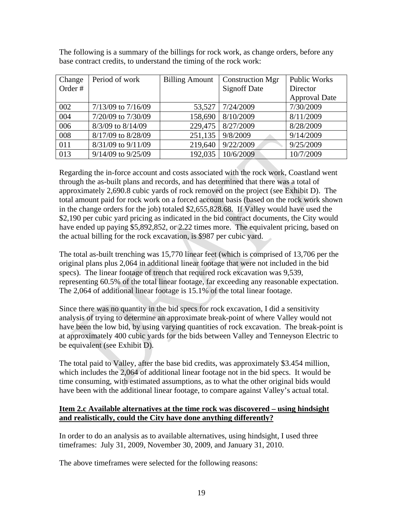| Change  | Period of work         | <b>Billing Amount</b> | <b>Construction Mgr</b> | Public Works         |
|---------|------------------------|-----------------------|-------------------------|----------------------|
| Order # |                        |                       | <b>Signoff Date</b>     | Director             |
|         |                        |                       |                         | <b>Approval Date</b> |
| 002     | $7/13/09$ to $7/16/09$ | 53,527                | 7/24/2009               | 7/30/2009            |
| 004     | 7/20/09 to 7/30/09     | 158,690               | 8/10/2009               | 8/11/2009            |
| 006     | 8/3/09 to 8/14/09      | 229,475               | 8/27/2009               | 8/28/2009            |
| 008     | 8/17/09 to 8/28/09     | 251,135               | 9/8/2009                | 9/14/2009            |
| 011     | 8/31/09 to 9/11/09     | 219,640               | 9/22/2009               | 9/25/2009            |
| 013     | $9/14/09$ to $9/25/09$ | 192,035               | 10/6/2009               | 10/7/2009            |

The following is a summary of the billings for rock work, as change orders, before any base contract credits, to understand the timing of the rock work:

Regarding the in-force account and costs associated with the rock work, Coastland went through the as-built plans and records, and has determined that there was a total of approximately 2,690.8 cubic yards of rock removed on the project (see Exhibit D). The total amount paid for rock work on a forced account basis (based on the rock work shown in the change orders for the job) totaled \$2,655,828.68. If Valley would have used the \$2,190 per cubic yard pricing as indicated in the bid contract documents, the City would have ended up paying \$5,892,852, or 2.22 times more. The equivalent pricing, based on the actual billing for the rock excavation, is \$987 per cubic yard.

The total as-built trenching was 15,770 linear feet (which is comprised of 13,706 per the original plans plus 2,064 in additional linear footage that were not included in the bid specs). The linear footage of trench that required rock excavation was 9,539, representing 60.5% of the total linear footage, far exceeding any reasonable expectation. The 2,064 of additional linear footage is 15.1% of the total linear footage.

Since there was no quantity in the bid specs for rock excavation, I did a sensitivity analysis of trying to determine an approximate break-point of where Valley would not have been the low bid, by using varying quantities of rock excavation. The break-point is at approximately 400 cubic yards for the bids between Valley and Tenneyson Electric to be equivalent (see Exhibit D).

The total paid to Valley, after the base bid credits, was approximately \$3.454 million, which includes the 2,064 of additional linear footage not in the bid specs. It would be time consuming, with estimated assumptions, as to what the other original bids would have been with the additional linear footage, to compare against Valley's actual total.

# **Item 2.c Available alternatives at the time rock was discovered – using hindsight and realistically, could the City have done anything differently?**

In order to do an analysis as to available alternatives, using hindsight, I used three timeframes: July 31, 2009, November 30, 2009, and January 31, 2010.

The above timeframes were selected for the following reasons: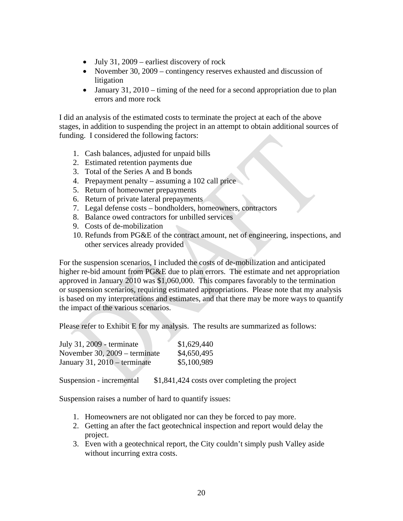- July 31, 2009 earliest discovery of rock
- November 30, 2009 contingency reserves exhausted and discussion of litigation
- January 31, 2010 timing of the need for a second appropriation due to plan errors and more rock

I did an analysis of the estimated costs to terminate the project at each of the above stages, in addition to suspending the project in an attempt to obtain additional sources of funding. I considered the following factors:

- 1. Cash balances, adjusted for unpaid bills
- 2. Estimated retention payments due
- 3. Total of the Series A and B bonds
- 4. Prepayment penalty assuming a 102 call price
- 5. Return of homeowner prepayments
- 6. Return of private lateral prepayments
- 7. Legal defense costs bondholders, homeowners, contractors
- 8. Balance owed contractors for unbilled services
- 9. Costs of de-mobilization
- 10. Refunds from PG&E of the contract amount, net of engineering, inspections, and other services already provided

For the suspension scenarios, I included the costs of de-mobilization and anticipated higher re-bid amount from PG&E due to plan errors. The estimate and net appropriation approved in January 2010 was \$1,060,000. This compares favorably to the termination or suspension scenarios, requiring estimated appropriations. Please note that my analysis is based on my interpretations and estimates, and that there may be more ways to quantify the impact of the various scenarios.

Please refer to Exhibit E for my analysis. The results are summarized as follows:

| July 31, 2009 - terminate       | \$1,629,440 |
|---------------------------------|-------------|
| November 30, $2009$ – terminate | \$4,650,495 |
| January 31, $2010$ – terminate  | \$5,100,989 |

Suspension - incremental \$1,841,424 costs over completing the project

Suspension raises a number of hard to quantify issues:

- 1. Homeowners are not obligated nor can they be forced to pay more.
- 2. Getting an after the fact geotechnical inspection and report would delay the project.
- 3. Even with a geotechnical report, the City couldn't simply push Valley aside without incurring extra costs.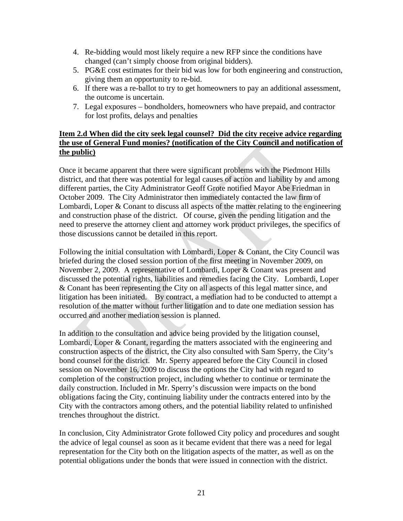- 4. Re-bidding would most likely require a new RFP since the conditions have changed (can't simply choose from original bidders).
- 5. PG&E cost estimates for their bid was low for both engineering and construction, giving them an opportunity to re-bid.
- 6. If there was a re-ballot to try to get homeowners to pay an additional assessment, the outcome is uncertain.
- 7. Legal exposures bondholders, homeowners who have prepaid, and contractor for lost profits, delays and penalties

# **Item 2.d When did the city seek legal counsel? Did the city receive advice regarding the use of General Fund monies? (notification of the City Council and notification of the public)**

Once it became apparent that there were significant problems with the Piedmont Hills district, and that there was potential for legal causes of action and liability by and among different parties, the City Administrator Geoff Grote notified Mayor Abe Friedman in October 2009. The City Administrator then immediately contacted the law firm of Lombardi, Loper & Conant to discuss all aspects of the matter relating to the engineering and construction phase of the district. Of course, given the pending litigation and the need to preserve the attorney client and attorney work product privileges, the specifics of those discussions cannot be detailed in this report.

Following the initial consultation with Lombardi, Loper & Conant, the City Council was briefed during the closed session portion of the first meeting in November 2009, on November 2, 2009. A representative of Lombardi, Loper & Conant was present and discussed the potential rights, liabilities and remedies facing the City. Lombardi, Loper & Conant has been representing the City on all aspects of this legal matter since, and litigation has been initiated. By contract, a mediation had to be conducted to attempt a resolution of the matter without further litigation and to date one mediation session has occurred and another mediation session is planned.

In addition to the consultation and advice being provided by the litigation counsel, Lombardi, Loper & Conant, regarding the matters associated with the engineering and construction aspects of the district, the City also consulted with Sam Sperry, the City's bond counsel for the district. Mr. Sperry appeared before the City Council in closed session on November 16, 2009 to discuss the options the City had with regard to completion of the construction project, including whether to continue or terminate the daily construction. Included in Mr. Sperry's discussion were impacts on the bond obligations facing the City, continuing liability under the contracts entered into by the City with the contractors among others, and the potential liability related to unfinished trenches throughout the district.

In conclusion, City Administrator Grote followed City policy and procedures and sought the advice of legal counsel as soon as it became evident that there was a need for legal representation for the City both on the litigation aspects of the matter, as well as on the potential obligations under the bonds that were issued in connection with the district.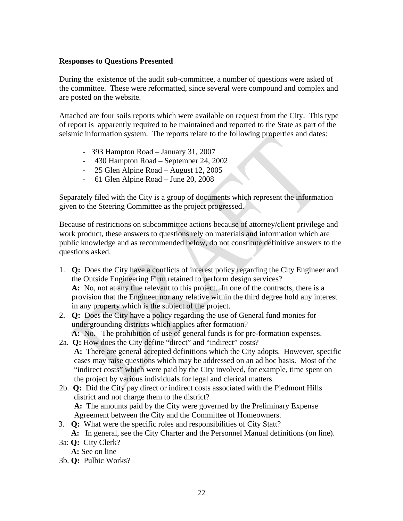#### **Responses to Questions Presented**

During the existence of the audit sub-committee, a number of questions were asked of the committee. These were reformatted, since several were compound and complex and are posted on the website.

Attached are four soils reports which were available on request from the City. This type of report is apparently required to be maintained and reported to the State as part of the seismic information system. The reports relate to the following properties and dates:

- 393 Hampton Road January 31, 2007
- 430 Hampton Road September 24, 2002
- 25 Glen Alpine Road August 12, 2005
- 61 Glen Alpine Road June 20, 2008

Separately filed with the City is a group of documents which represent the information given to the Steering Committee as the project progressed.

Because of restrictions on subcommittee actions because of attorney/client privilege and work product, these answers to questions rely on materials and information which are public knowledge and as recommended below, do not constitute definitive answers to the questions asked.

- 1. **Q:** Does the City have a conflicts of interest policy regarding the City Engineer and the Outside Engineering Firm retained to perform design services? **A:** No, not at any tine relevant to this project. In one of the contracts, there is a provision that the Engineer nor any relative within the third degree hold any interest in any property which is the subject of the project.
- 2. **Q:** Does the City have a policy regarding the use of General fund monies for undergrounding districts which applies after formation?

**A:** No. The prohibition of use of general funds is for pre-formation expenses.

- 2a. **Q:** How does the City define "direct" and "indirect" costs? **A:** There are general accepted definitions which the City adopts. However, specific cases may raise questions which may be addressed on an ad hoc basis. Most of the "indirect costs" which were paid by the City involved, for example, time spent on the project by various individuals for legal and clerical matters.
- 2b. **Q:** Did the City pay direct or indirect costs associated with the Piedmont Hills district and not charge them to the district? **A:** The amounts paid by the City were governed by the Preliminary Expense Agreement between the City and the Committee of Homeowners.
- 3. **Q:** What were the specific roles and responsibilities of City Statt? **A:** In general, see the City Charter and the Personnel Manual definitions (on line).
- 3a: **Q:** City Clerk? **A:** See on line
- 3b. **Q:** Pulbic Works?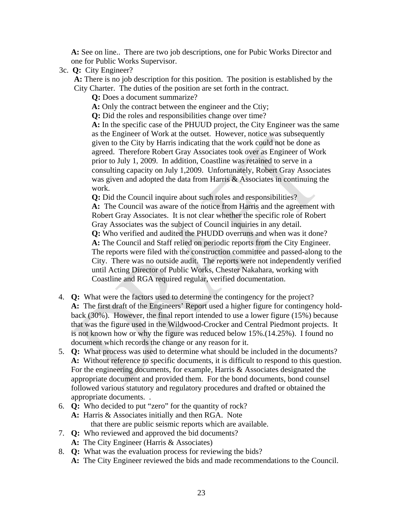**A:** See on line.. There are two job descriptions, one for Pubic Works Director and one for Public Works Supervisor.

3c. **Q:** City Engineer?

**A:** There is no job description for this position. The position is established by the City Charter. The duties of the position are set forth in the contract.

**Q:** Does a document summarize?

**A:** Only the contract between the engineer and the Ctiy;

**Q:** Did the roles and responsibilities change over time?

**A:** In the specific case of the PHUUD project, the City Engineer was the same as the Engineer of Work at the outset. However, notice was subsequently given to the City by Harris indicating that the work could not be done as agreed. Therefore Robert Gray Associates took over as Engineer of Work prior to July 1, 2009. In addition, Coastline was retained to serve in a consulting capacity on July 1,2009. Unfortunately, Robert Gray Associates was given and adopted the data from Harris & Associates in continuing the work.

**Q:** Did the Council inquire about such roles and responsibilities? **A:** The Council was aware of the notice from Harris and the agreement with Robert Gray Associates. It is not clear whether the specific role of Robert Gray Associates was the subject of Council inquiries in any detail. **Q:** Who verified and audited the PHUDD overruns and when was it done? **A:** The Council and Staff relied on periodic reports from the City Engineer. The reports were filed with the construction committee and passed-along to the City. There was no outside audit. The reports were not independently verified until Acting Director of Public Works, Chester Nakahara, working with Coastline and RGA required regular, verified documentation.

- 4. **Q:** What were the factors used to determine the contingency for the project? **A:** The first draft of the Engineers' Report used a higher figure for contingency holdback (30%). However, the final report intended to use a lower figure (15%) because that was the figure used in the Wildwood-Crocker and Central Piedmont projects. It is not known how or why the figure was reduced below 15%.(14.25%). I found no document which records the change or any reason for it.
- 5. **Q:** What process was used to determine what should be included in the documents? **A:** Without reference to specific documents, it is difficult to respond to this question. For the engineering documents, for example, Harris & Associates designated the appropriate document and provided them. For the bond documents, bond counsel followed various statutory and regulatory procedures and drafted or obtained the appropriate documents. .
- 6. **Q:** Who decided to put "zero" for the quantity of rock?
	- **A:** Harris & Associates initially and then RGA. Note that there are public seismic reports which are available.
- 7. **Q:** Who reviewed and approved the bid documents?
	- **A:** The City Engineer (Harris & Associates)
- 8. **Q:** What was the evaluation process for reviewing the bids?
	- **A:** The City Engineer reviewed the bids and made recommendations to the Council.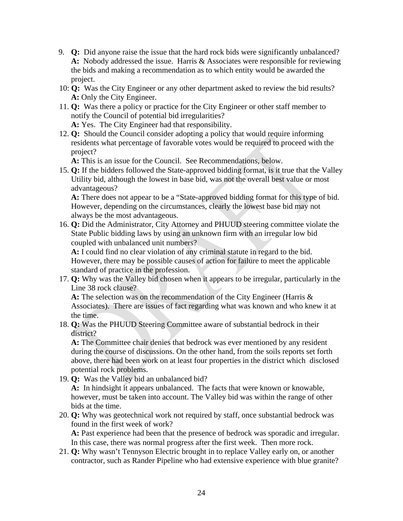- 9. **Q:** Did anyone raise the issue that the hard rock bids were significantly unbalanced? **A:** Nobody addressed the issue. Harris & Associates were responsible for reviewing the bids and making a recommendation as to which entity would be awarded the project.
- 10: **Q:** Was the City Engineer or any other department asked to review the bid results? **A:** Only the City Engineer.
- 11. **Q:** Was there a policy or practice for the City Engineer or other staff member to notify the Council of potential bid irregularities?

**A:** Yes. The City Engineer had that responsibility.

12. **Q:** Should the Council consider adopting a policy that would require informing residents what percentage of favorable votes would be required to proceed with the project?

**A:** This is an issue for the Council. See Recommendations, below.

15. **Q:** If the bidders followed the State-approved bidding format, is it true that the Valley Utility bid, although the lowest in base bid, was not the overall best value or most advantageous?

**A:** There does not appear to be a "State-approved bidding format for this type of bid. However, depending on the circumstances, clearly the lowest base bid may not always be the most advantageous.

16. **Q:** Did the Administrator, City Attorney and PHUUD steering committee violate the State Public bidding laws by using an unknown firm with an irregular low bid coupled with unbalanced unit numbers?

**A:** I could find no clear violation of any criminal statute in regard to the bid. However, there may be possible causes of action for failure to meet the applicable standard of practice in the profession.

17. **Q:** Why was the Valley bid chosen when it appears to be irregular, particularly in the Line 38 rock clause?

**A:** The selection was on the recommendation of the City Engineer (Harris & Associates). There are issues of fact regarding what was known and who knew it at the time.

18. **Q:** Was the PHUUD Steering Committee aware of substantial bedrock in their district?

**A:** The Committee chair denies that bedrock was ever mentioned by any resident during the course of discussions. On the other hand, from the soils reports set forth above, there had been work on at least four properties in the district which disclosed potential rock problems.

- 19. **Q:** Was the Valley bid an unbalanced bid? **A:** In hindsight it appears unbalanced. The facts that were known or knowable, however, must be taken into account. The Valley bid was within the range of other bids at the time.
- 20. **Q:** Why was geotechnical work not required by staff, once substantial bedrock was found in the first week of work? **A:** Past experience had been that the presence of bedrock was sporadic and irregular. In this case, there was normal progress after the first week. Then more rock.
- 21. **Q:** Why wasn't Tennyson Electric brought in to replace Valley early on, or another contractor, such as Rander Pipeline who had extensive experience with blue granite?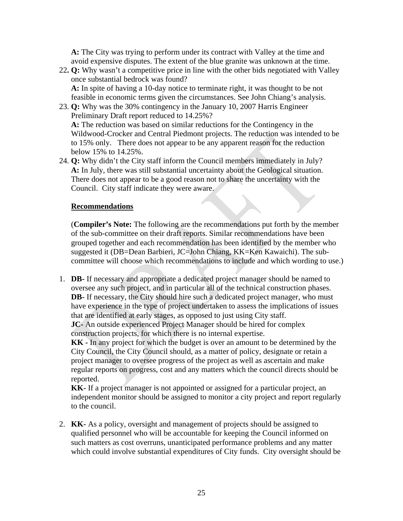**A:** The City was trying to perform under its contract with Valley at the time and avoid expensive disputes. The extent of the blue granite was unknown at the time.

- 22**. Q:** Why wasn't a competitive price in line with the other bids negotiated with Valley once substantial bedrock was found? **A:** In spite of having a 10-day notice to terminate right, it was thought to be not feasible in economic terms given the circumstances. See John Chiang's analysis.
- 23. **Q:** Why was the 30% contingency in the January 10, 2007 Harris Engineer Preliminary Draft report reduced to 14.25%? **A:** The reduction was based on similar reductions for the Contingency in the Wildwood-Crocker and Central Piedmont projects. The reduction was intended to be to 15% only. There does not appear to be any apparent reason for the reduction below 15% to 14.25%.
- 24. **Q:** Why didn't the City staff inform the Council members immediately in July? **A:** In July, there was still substantial uncertainty about the Geological situation. There does not appear to be a good reason not to share the uncertainty with the Council. City staff indicate they were aware.

# **Recommendations**

(**Compiler's Note:** The following are the recommendations put forth by the member of the sub-committee on their draft reports. Similar recommendations have been grouped together and each recommendation has been identified by the member who suggested it (DB=Dean Barbieri, JC=John Chiang, KK=Ken Kawaichi). The subcommittee will choose which recommendations to include and which wording to use.)

1. **DB-** If necessary and appropriate a dedicated project manager should be named to oversee any such project, and in particular all of the technical construction phases. **DB-** If necessary, the City should hire such a dedicated project manager, who must have experience in the type of project undertaken to assess the implications of issues that are identified at early stages, as opposed to just using City staff.

**JC-** An outside experienced Project Manager should be hired for complex construction projects, for which there is no internal expertise.

**KK -** In any project for which the budget is over an amount to be determined by the City Council, the City Council should, as a matter of policy, designate or retain a project manager to oversee progress of the project as well as ascertain and make regular reports on progress, cost and any matters which the council directs should be reported.

**KK-** If a project manager is not appointed or assigned for a particular project, an independent monitor should be assigned to monitor a city project and report regularly to the council.

2. **KK-** As a policy, oversight and management of projects should be assigned to qualified personnel who will be accountable for keeping the Council informed on such matters as cost overruns, unanticipated performance problems and any matter which could involve substantial expenditures of City funds. City oversight should be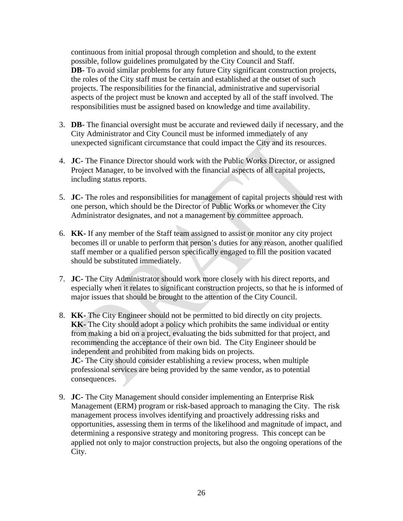continuous from initial proposal through completion and should, to the extent possible, follow guidelines promulgated by the City Council and Staff. **DB-** To avoid similar problems for any future City significant construction projects, the roles of the City staff must be certain and established at the outset of such projects. The responsibilities for the financial, administrative and supervisorial aspects of the project must be known and accepted by all of the staff involved. The responsibilities must be assigned based on knowledge and time availability.

- 3. **DB-** The financial oversight must be accurate and reviewed daily if necessary, and the City Administrator and City Council must be informed immediately of any unexpected significant circumstance that could impact the City and its resources.
- 4. **JC-** The Finance Director should work with the Public Works Director, or assigned Project Manager, to be involved with the financial aspects of all capital projects, including status reports.
- 5. **JC-** The roles and responsibilities for management of capital projects should rest with one person, which should be the Director of Public Works or whomever the City Administrator designates, and not a management by committee approach.
- 6. **KK-** If any member of the Staff team assigned to assist or monitor any city project becomes ill or unable to perform that person's duties for any reason, another qualified staff member or a qualified person specifically engaged to fill the position vacated should be substituted immediately.
- 7. **JC-** The City Administrator should work more closely with his direct reports, and especially when it relates to significant construction projects, so that he is informed of major issues that should be brought to the attention of the City Council.
- 8. **KK-** The City Engineer should not be permitted to bid directly on city projects. **KK-** The City should adopt a policy which prohibits the same individual or entity from making a bid on a project, evaluating the bids submitted for that project, and recommending the acceptance of their own bid. The City Engineer should be independent and prohibited from making bids on projects. **JC**- The City should consider establishing a review process, when multiple professional services are being provided by the same vendor, as to potential consequences.
- 9. **JC-** The City Management should consider implementing an Enterprise Risk Management (ERM) program or risk-based approach to managing the City. The risk management process involves identifying and proactively addressing risks and opportunities, assessing them in terms of the likelihood and magnitude of impact, and determining a responsive strategy and monitoring progress. This concept can be applied not only to major construction projects, but also the ongoing operations of the City.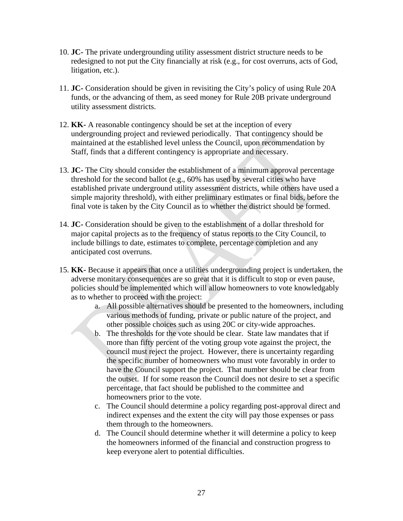- 10. **JC-** The private undergrounding utility assessment district structure needs to be redesigned to not put the City financially at risk (e.g., for cost overruns, acts of God, litigation, etc.).
- 11. **JC-** Consideration should be given in revisiting the City's policy of using Rule 20A funds, or the advancing of them, as seed money for Rule 20B private underground utility assessment districts.
- 12. **KK-** A reasonable contingency should be set at the inception of every undergrounding project and reviewed periodically. That contingency should be maintained at the established level unless the Council, upon recommendation by Staff, finds that a different contingency is appropriate and necessary.
- 13. **JC-** The City should consider the establishment of a minimum approval percentage threshold for the second ballot (e.g., 60% has used by several cities who have established private underground utility assessment districts, while others have used a simple majority threshold), with either preliminary estimates or final bids, before the final vote is taken by the City Council as to whether the district should be formed.
- 14. **JC-** Consideration should be given to the establishment of a dollar threshold for major capital projects as to the frequency of status reports to the City Council, to include billings to date, estimates to complete, percentage completion and any anticipated cost overruns.
- 15. **KK-** Because it appears that once a utilities undergrounding project is undertaken, the adverse monitary consequences are so great that it is difficult to stop or even pause, policies should be implemented which will allow homeowners to vote knowledgably as to whether to proceed with the project:
	- a. All possible alternatives should be presented to the homeowners, including various methods of funding, private or public nature of the project, and other possible choices such as using 20C or city-wide approaches.
	- b. The thresholds for the vote should be clear. State law mandates that if more than fifty percent of the voting group vote against the project, the council must reject the project. However, there is uncertainty regarding the specific number of homeowners who must vote favorably in order to have the Council support the project. That number should be clear from the outset. If for some reason the Council does not desire to set a specific percentage, that fact should be published to the committee and homeowners prior to the vote.
	- c. The Council should determine a policy regarding post-approval direct and indirect expenses and the extent the city will pay those expenses or pass them through to the homeowners.
	- d. The Council should determine whether it will determine a policy to keep the homeowners informed of the financial and construction progress to keep everyone alert to potential difficulties.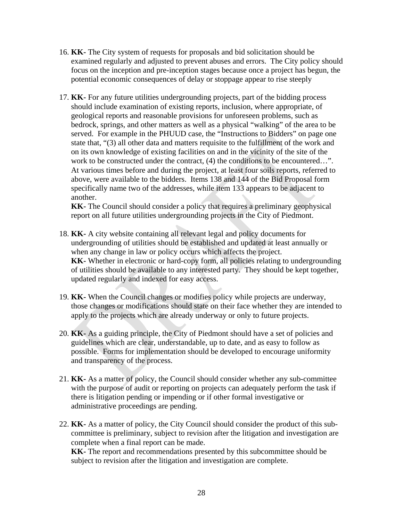- 16. **KK-** The City system of requests for proposals and bid solicitation should be examined regularly and adjusted to prevent abuses and errors. The City policy should focus on the inception and pre-inception stages because once a project has begun, the potential economic consequences of delay or stoppage appear to rise steeply
- 17. **KK-** For any future utilities undergrounding projects, part of the bidding process should include examination of existing reports, inclusion, where appropriate, of geological reports and reasonable provisions for unforeseen problems, such as bedrock, springs, and other matters as well as a physical "walking" of the area to be served. For example in the PHUUD case, the "Instructions to Bidders" on page one state that, "(3) all other data and matters requisite to the fulfillment of the work and on its own knowledge of existing facilities on and in the vicinity of the site of the work to be constructed under the contract, (4) the conditions to be encountered...". At various times before and during the project, at least four soils reports, referred to above, were available to the bidders. Items 138 and 144 of the Bid Proposal form specifically name two of the addresses, while item 133 appears to be adjacent to another.

**KK-** The Council should consider a policy that requires a preliminary geophysical report on all future utilities undergrounding projects in the City of Piedmont.

- 18. **KK-** A city website containing all relevant legal and policy documents for undergrounding of utilities should be established and updated at least annually or when any change in law or policy occurs which affects the project. **KK-** Whether in electronic or hard-copy form, all policies relating to undergrounding of utilities should be available to any interested party. They should be kept together, updated regularly and indexed for easy access.
- 19. **KK-** When the Council changes or modifies policy while projects are underway, those changes or modifications should state on their face whether they are intended to apply to the projects which are already underway or only to future projects.
- 20. **KK-** As a guiding principle, the City of Piedmont should have a set of policies and guidelines which are clear, understandable, up to date, and as easy to follow as possible. Forms for implementation should be developed to encourage uniformity and transparency of the process.
- 21. **KK-** As a matter of policy, the Council should consider whether any sub-committee with the purpose of audit or reporting on projects can adequately perform the task if there is litigation pending or impending or if other formal investigative or administrative proceedings are pending.
- 22. **KK-** As a matter of policy, the City Council should consider the product of this subcommittee is preliminary, subject to revision after the litigation and investigation are complete when a final report can be made. **KK-** The report and recommendations presented by this subcommittee should be

subject to revision after the litigation and investigation are complete.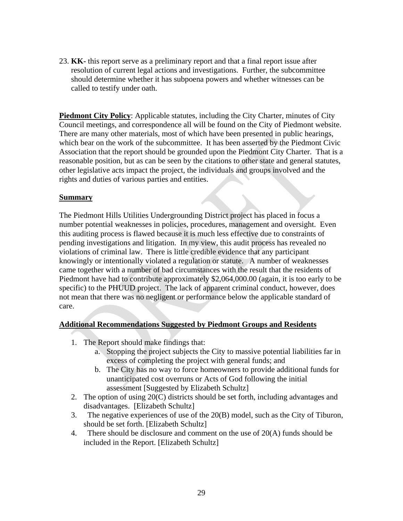23. **KK-** this report serve as a preliminary report and that a final report issue after resolution of current legal actions and investigations. Further, the subcommittee should determine whether it has subpoena powers and whether witnesses can be called to testify under oath.

**Piedmont City Policy:** Applicable statutes, including the City Charter, minutes of City Council meetings, and correspondence all will be found on the City of Piedmont website. There are many other materials, most of which have been presented in public hearings, which bear on the work of the subcommittee. It has been asserted by the Piedmont Civic Association that the report should be grounded upon the Piedmont City Charter. That is a reasonable position, but as can be seen by the citations to other state and general statutes, other legislative acts impact the project, the individuals and groups involved and the rights and duties of various parties and entities.

# **Summary**

The Piedmont Hills Utilities Undergrounding District project has placed in focus a number potential weaknesses in policies, procedures, management and oversight. Even this auditing process is flawed because it is much less effective due to constraints of pending investigations and litigation. In my view, this audit process has revealed no violations of criminal law. There is little credible evidence that any participant knowingly or intentionally violated a regulation or statute. A number of weaknesses came together with a number of bad circumstances with the result that the residents of Piedmont have had to contribute approximately \$2,064,000.00 (again, it is too early to be specific) to the PHUUD project. The lack of apparent criminal conduct, however, does not mean that there was no negligent or performance below the applicable standard of care.

# **Additional Recommendations Suggested by Piedmont Groups and Residents**

- 1. The Report should make findings that:
	- a. Stopping the project subjects the City to massive potential liabilities far in excess of completing the project with general funds; and
	- b. The City has no way to force homeowners to provide additional funds for unanticipated cost overruns or Acts of God following the initial assessment [Suggested by Elizabeth Schultz]
- 2. The option of using 20(C) districts should be set forth, including advantages and disadvantages. [Elizabeth Schultz]
- 3. The negative experiences of use of the 20(B) model, such as the City of Tiburon, should be set forth. [Elizabeth Schultz]
- 4. There should be disclosure and comment on the use of 20(A) funds should be included in the Report. [Elizabeth Schultz]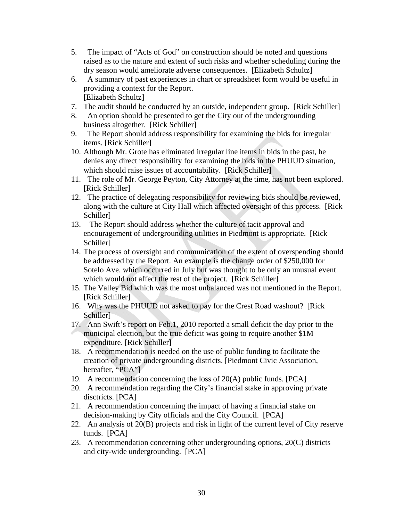- 5. The impact of "Acts of God" on construction should be noted and questions raised as to the nature and extent of such risks and whether scheduling during the dry season would ameliorate adverse consequences. [Elizabeth Schultz]
- 6. A summary of past experiences in chart or spreadsheet form would be useful in providing a context for the Report. [Elizabeth Schultz]
- 7. The audit should be conducted by an outside, independent group. [Rick Schiller]
- 8. An option should be presented to get the City out of the undergrounding business altogether. [Rick Schiller]
- 9. The Report should address responsibility for examining the bids for irregular items. [Rick Schiller]
- 10. Although Mr. Grote has eliminated irregular line items in bids in the past, he denies any direct responsibility for examining the bids in the PHUUD situation, which should raise issues of accountability. [Rick Schiller]
- 11. The role of Mr. George Peyton, City Attorney at the time, has not been explored. [Rick Schiller]
- 12. The practice of delegating responsibility for reviewing bids should be reviewed, along with the culture at City Hall which affected oversight of this process. [Rick Schiller]
- 13. The Report should address whether the culture of tacit approval and encouragement of undergrounding utilities in Piedmont is appropriate. [Rick Schiller]
- 14. The process of oversight and communication of the extent of overspending should be addressed by the Report. An example is the change order of \$250,000 for Sotelo Ave. which occurred in July but was thought to be only an unusual event which would not affect the rest of the project. [Rick Schiller]
- 15. The Valley Bid which was the most unbalanced was not mentioned in the Report. [Rick Schiller]
- 16. Why was the PHUUD not asked to pay for the Crest Road washout? [Rick Schiller]
- 17. Ann Swift's report on Feb.1, 2010 reported a small deficit the day prior to the municipal election, but the true deficit was going to require another \$1M expenditure. [Rick Schiller]
- 18. A recommendation is needed on the use of public funding to facilitate the creation of private undergrounding districts. [Piedmont Civic Association, hereafter, "PCA"]
- 19. A recommendation concerning the loss of 20(A) public funds. [PCA]
- 20. A recommendation regarding the City's financial stake in approving private disctricts. [PCA]
- 21. A recommendation concerning the impact of having a financial stake on decision-making by City officials and the City Council. [PCA]
- 22. An analysis of 20(B) projects and risk in light of the current level of City reserve funds. [PCA]
- 23. A recommendation concerning other undergrounding options, 20(C) districts and city-wide undergrounding. [PCA]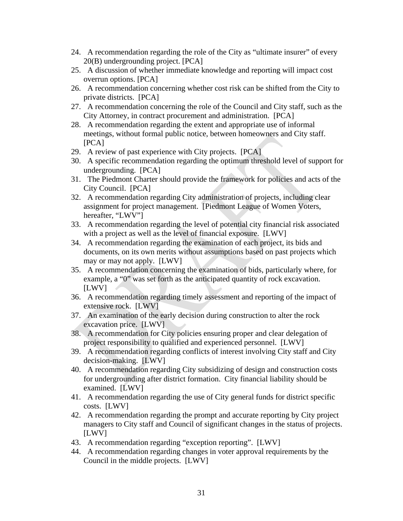- 24. A recommendation regarding the role of the City as "ultimate insurer" of every 20(B) undergrounding project. [PCA]
- 25. A discussion of whether immediate knowledge and reporting will impact cost overrun options. [PCA]
- 26. A recommendation concerning whether cost risk can be shifted from the City to private districts. [PCA]
- 27. A recommendation concerning the role of the Council and City staff, such as the City Attorney, in contract procurement and administration. [PCA]
- 28. A recommendation regarding the extent and appropriate use of informal meetings, without formal public notice, between homeowners and City staff. [PCA]
- 29. A review of past experience with City projects. [PCA]
- 30. A specific recommendation regarding the optimum threshold level of support for undergrounding. [PCA]
- 31. The Piedmont Charter should provide the framework for policies and acts of the City Council. [PCA]
- 32. A recommendation regarding City administration of projects, including clear assignment for project management. [Piedmont League of Women Voters, hereafter, "LWV"]
- 33. A recommendation regarding the level of potential city financial risk associated with a project as well as the level of financial exposure. [LWV]
- 34. A recommendation regarding the examination of each project, its bids and documents, on its own merits without assumptions based on past projects which may or may not apply. [LWV]
- 35. A recommendation concerning the examination of bids, particularly where, for example, a "0" was set forth as the anticipated quantity of rock excavation. [LWV]
- 36. A recommendation regarding timely assessment and reporting of the impact of extensive rock. [LWV]
- 37. An examination of the early decision during construction to alter the rock excavation price. [LWV]
- 38. A recommendation for City policies ensuring proper and clear delegation of project responsibility to qualified and experienced personnel. [LWV]
- 39. A recommendation regarding conflicts of interest involving City staff and City decision-making. [LWV]
- 40. A recommendation regarding City subsidizing of design and construction costs for undergrounding after district formation. City financial liability should be examined. [LWV]
- 41. A recommendation regarding the use of City general funds for district specific costs. [LWV]
- 42. A recommendation regarding the prompt and accurate reporting by City project managers to City staff and Council of significant changes in the status of projects. [LWV]
- 43. A recommendation regarding "exception reporting". [LWV]
- 44. A recommendation regarding changes in voter approval requirements by the Council in the middle projects. [LWV]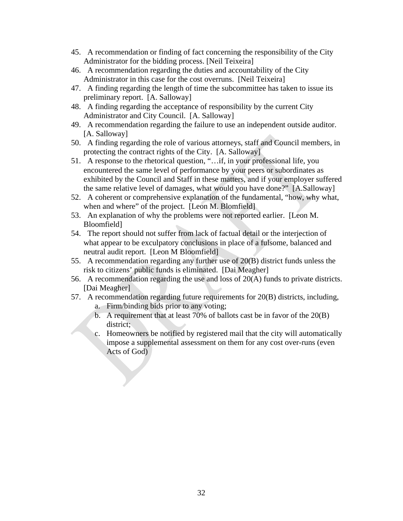- 45. A recommendation or finding of fact concerning the responsibility of the City Administrator for the bidding process. [Neil Teixeira]
- 46. A recommendation regarding the duties and accountability of the City Administrator in this case for the cost overruns. [Neil Teixeira]
- 47. A finding regarding the length of time the subcommittee has taken to issue its preliminary report. [A. Salloway]
- 48. A finding regarding the acceptance of responsibility by the current City Administrator and City Council. [A. Salloway]
- 49. A recommendation regarding the failure to use an independent outside auditor. [A. Salloway]
- 50. A finding regarding the role of various attorneys, staff and Council members, in protecting the contract rights of the City. [A. Salloway]
- 51. A response to the rhetorical question, "…if, in your professional life, you encountered the same level of performance by your peers or subordinates as exhibited by the Council and Staff in these matters, and if your employer suffered the same relative level of damages, what would you have done?" [A.Salloway]
- 52. A coherent or comprehensive explanation of the fundamental, "how, why what, when and where" of the project. [Leon M. Blomfield]
- 53. An explanation of why the problems were not reported earlier. [Leon M. Bloomfield]
- 54. The report should not suffer from lack of factual detail or the interjection of what appear to be exculpatory conclusions in place of a fulsome, balanced and neutral audit report. [Leon M Bloomfield]
- 55. A recommendation regarding any further use of 20(B) district funds unless the risk to citizens' public funds is eliminated. [Dai Meagher]
- 56. A recommendation regarding the use and loss of 20(A) funds to private districts. [Dai Meagher]
- 57. A recommendation regarding future requirements for 20(B) districts, including, a. Firm/binding bids prior to any voting;
	- b. A requirement that at least 70% of ballots cast be in favor of the 20(B) district;
	- c. Homeowners be notified by registered mail that the city will automatically impose a supplemental assessment on them for any cost over-runs (even Acts of God)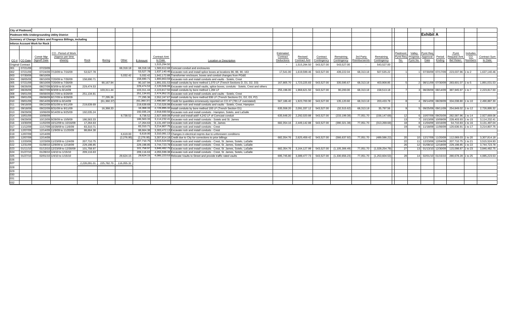|     | <b>City of Piedmont</b>  |                                                       |                                                           |                                    |              |            |             |                                                                                                  |                          |                                |                         |                          |              |                |                                               |                      |                   |                                         |                |                         |
|-----|--------------------------|-------------------------------------------------------|-----------------------------------------------------------|------------------------------------|--------------|------------|-------------|--------------------------------------------------------------------------------------------------|--------------------------|--------------------------------|-------------------------|--------------------------|--------------|----------------|-----------------------------------------------|----------------------|-------------------|-----------------------------------------|----------------|-------------------------|
|     |                          | <b>Piedmont Hills Undergrounding Utility District</b> |                                                           |                                    |              |            |             |                                                                                                  |                          |                                |                         |                          |              |                |                                               | <b>Exhibit A</b>     |                   |                                         |                |                         |
|     |                          |                                                       | Summary of Change Orders and Progress Billings, including |                                    |              |            |             |                                                                                                  |                          |                                |                         |                          |              |                |                                               |                      |                   |                                         |                |                         |
|     |                          | Inforce Account Work for Rock                         |                                                           |                                    |              |            |             |                                                                                                  |                          |                                |                         |                          |              |                |                                               |                      |                   |                                         |                |                         |
|     |                          |                                                       |                                                           |                                    |              |            |             |                                                                                                  |                          |                                |                         |                          |              |                |                                               |                      |                   |                                         |                |                         |
|     |                          |                                                       |                                                           |                                    |              |            |             |                                                                                                  |                          |                                |                         |                          |              |                |                                               |                      |                   |                                         |                |                         |
|     |                          | Constr Mgr                                            | CO - Period of Work<br>(Approx per time                   |                                    |              |            |             |                                                                                                  | Estimated<br>Contract    |                                |                         |                          | 3rd Party    | Remaining      | Piedmont<br>Pymt Reg Progress Approval Period | Valley Pymt Req      |                   | Pymt<br>Request Amt                     | Includes<br>CO |                         |
|     | CO# CO Date              | <b>Signoff Date</b>                                   | sheets)                                                   | Rock                               | Boring       | Other      | \$ Amount   | Contract Amt<br>to Date<br><b>Location or Description</b>                                        | Deductions               | Revised<br><b>Contract Amt</b> | Contract<br>Contingency | Remaining<br>Contingency | Reimbursemts | Contingency    | <u>No.</u><br>Pymt No.                        | Date                 | Ending            | Bef Reten                               | Numbers        | Contract Sum<br>to Date |
|     | <b>Original Contract</b> |                                                       |                                                           |                                    |              |            |             | 1.515.294.50                                                                                     | $\overline{\phantom{a}}$ | 1.515.294.50                   | 543.527.00              | 543.527.00               |              | 543,527.00     |                                               |                      |                   |                                         |                |                         |
| 001 | 07/21/09                 | 07/23/09                                              |                                                           |                                    |              | 68.318.18  | 68,318.1    | 1,583,612.68 Comcast conduit and enclosures                                                      |                          |                                |                         |                          | $\sim$       |                |                                               |                      |                   |                                         |                |                         |
| 002 | 07/21/09                 |                                                       | 07/24/09 7/13/09 to 7/16/09                               | 53.527.78                          |              |            | 53,527.78   | 1,637,140.46 Excavate rock and install splice boxes at locations 86, 88, 90, 163                 | 17.541.00                | 1.619.599.46                   | 543,527.00              | 439.222.04               | 68.313.18    | 507.535.22     |                                               |                      | 07/30/09 07/17/09 | 223,037.96 1 to 2                       |                | 1.637.140.46            |
| 003 | 07/30/09                 | 08/10/09                                              |                                                           |                                    |              | 5.032.42   | 5,032.4     | 1,642,172.88 Transformer enclosure, boxes and conduit changes from PG&E                          |                          |                                |                         |                          |              |                |                                               |                      |                   |                                         |                |                         |
| 004 | 08/05/09                 |                                                       | 08/10/09 7/20/09 to 7/30/09                               | 158,690.71                         |              |            | 158,690.7   | 1,800,863.59 Excavate rock and install conduits and vaults - Sotelo, Crest                       |                          |                                |                         |                          |              |                |                                               |                      |                   |                                         |                |                         |
| 005 | 07/21/09                 |                                                       | 08/10/09 7/20/09 to 7/30/09                               |                                    | 90.167.94    |            | 90,167.9    | 1,891,031.53 Install conduits by bore method 1,070 LF (Trench Sections D, D1, D2, D3)            | 167,805.70               | 1.723.225.83 543.527.00        |                         | 335.595.67               | 68.313.18    | 403.908.85     |                                               | 2 08/11/09 07/30/09  |                   | 283,601.07 1 to 5                       |                | 1.891.031.53            |
| 006 | 08/26/09                 |                                                       | 08/27/09 8/3/09 to 8/14/09                                | 229.474.53                         |              |            | 229.474.    | 2,120,506.06 Excavate rock and install vaults, splice boxes, conduits - Sotelo, Crest and others |                          |                                |                         |                          |              |                |                                               |                      |                   |                                         |                |                         |
| 007 | 08/26/09                 |                                                       | 08/27/09 8/3/09 to 8/14/09                                |                                    | 103.311.44   |            | 103,311.4   | 2,223,817.50 Install conduits by bore method 1,284 LF                                            | 255.196.00               | 1.968.621.50 543.527.00        |                         | 90,200,00                | 68.313.18    | 158,513.18     |                                               | 08/28/09 08/14/09    |                   | 387.945.97 1 to 7                       |                | 2,223,817.50            |
| 008 | 09/01/09                 |                                                       | 09/08/09 8/17/09 to 8/28/09                               | 251.134.81                         |              |            | 251,134.8   | 2,474,952.31 Excavate rock and install conduits and vaults - Sotelo, Crest                       |                          |                                |                         |                          |              |                |                                               |                      |                   |                                         |                |                         |
| 009 | 09/01/09                 |                                                       | 09/08/09 8/17/09 to 8/28/09                               |                                    | 77,295.36    |            | 77.295.3    | 2,552,247.67 Install conduits by bore method 936 LF (Trench Sections D1, D2, D3, P2)             |                          |                                |                         |                          |              |                |                                               |                      |                   |                                         |                |                         |
| 010 | 09/01/09                 |                                                       | 09/14/09 8/3/09 to 8/14/09                                |                                    | (61, 360.37) |            | (61, 360.3) | 2,490,887.30 Credit for quantities erroneously reported on CO #7 (781 LF overstated)             | 567.186.40               | 1.923.700.90                   | 543,527.00              | 135.120.60               | 68.313.18    | 203.433.78     |                                               | 4 09/14/09 08/28/09  |                   | 334,038,80 1 to 10                      |                | 2,490,887.30            |
| 011 | 09/18/09                 |                                                       | 09/22/09 8/31/09 to 9/11/09                               | 219.639.69                         |              |            | 219,639.6   | 2,710,526.99 Excavate rock and install conduits and vaults - Sotelo, Crest, Hampton              |                          |                                |                         |                          |              |                |                                               |                      |                   |                                         |                |                         |
| 012 | 09/18/09                 |                                                       | 09/22/09 8/31/09 to 9/11/09                               |                                    | 16,368,33    |            | 16,368.3    | 2,726,895.32 Install conduits by bore method 193 LF (Trench Section D1)                          | 635.558.20               | 2,091,337.12 543,527.00        |                         | (32.515.62)              | 68,313.18    | 35,797.56      |                                               | 5 09/25/09 09/11/09  |                   | 254,849.02 1 to 12                      |                | 2,726,895.32            |
| 013 | 09/29/09                 |                                                       | 10/06/09 9/14/09 to 9/25/09                               | 192.035.24                         |              |            | 192,035.2   | 2,918,930.56 Excavate rock and install conduits - Hampton, Sotelo, and LaSalle                   |                          |                                |                         |                          |              |                |                                               |                      |                   |                                         |                |                         |
| 014 | 10/01/09                 | 10/06/09                                              |                                                           |                                    |              | 8.738.52   | 8,738.5     | 2,927,669.08 Furnish and install add'l 4,242 LF of Comcast conduit                               | 635,648.20               | 2,292,020.88                   | 543,527.00              | (233,199.38              | 77,051.70    | (156, 147.68)  | 12                                            | 6 10/07/09 09/25/09  |                   | 282,587.96 1 to 14                      |                | 2,927,669.08            |
| 015 | 09/29/09                 |                                                       | 10/13/09 9/28/09 to 10/9/09                               | 186,563,33                         |              |            | 186,563.3   | 3,114,232.41 Excavate rock and install conduits - Sotelo and St. James                           |                          |                                |                         |                          |              |                | 13                                            | 10/13/09 10/09/09    |                   | 228,403.93 1 to 15                      |                | 3,114,232.41            |
| 016 | 10/30/09                 |                                                       | 11/02/09 10/12/09 to 10/16/09                             | 17,264.63                          |              |            | 17.264.6    | 3,131,497.04 Excavate rock and install conduits - St. James                                      | 682.354.16               | 2,449,142.88                   | 543,527.00              | (390,321,38              | 77,051.70    | (313, 269.68)  | 18                                            | 8 11/04/09 10/16/09  |                   | 54,710.83 1 to 16                       |                | 3,131,497.04            |
| 017 | 11/12/09                 |                                                       | 11/17/09 10/28/09 to 11/6/09                              | 83,310.71                          |              |            | 83,310.7    | 3,214,807.75 Excavate rock and install conduits - Crest                                          |                          |                                |                         |                          |              |                | 19                                            | 9 11/18/09 11/06/09  |                   | 120,636.91 1 to 17                      |                | 3,214,807.75            |
| 018 | 12/07/09                 |                                                       | 12/14/09 11/9/09 to 11/20/09                              | 88.664.38                          |              |            | 88,664.3    | 3,303,472.13 Excavate rock and install conduits - Crest                                          |                          |                                |                         |                          |              |                |                                               |                      |                   |                                         |                |                         |
| 019 | 12/07/09                 | 12/14/09                                              |                                                           |                                    |              | 6.619.00   | 6,619.00    | 3,310,091.13 Changes in electrical regmts due to unforeseen conditions                           |                          |                                |                         |                          |              |                |                                               |                      |                   |                                         |                |                         |
| 020 | 12/07/09                 | 12/14/09                                              |                                                           |                                    |              | (2,276.95) | (2,276.95)  | 3,307,814.18 Credit due to City for corrections to prior billings                                | 682.354.76               | 2,625,459.42 543,527.00        |                         | (566.637.92              | 77,051.70    | (489, 586.22)  | 20                                            | 10 12/17/09 11/20/09 |                   | 112,069.03 1 to 20                      |                | 3,307,814.18            |
| 021 | 12/20/09                 |                                                       | 12/23/09 11/23/09 to 12/4/09                              | 207,710.75                         |              |            | 207,710.7   | 3,515,524.93 Excavate rock and install conduits - Crest, St. James, Sotelo, LaSalle              |                          |                                |                         |                          |              |                | 22                                            | 11 12/23/09 12/04/09 |                   | 207,710.75 1 to 21                      |                | 3,515,524.93            |
| 022 | 12/31/09                 |                                                       | 01/08/10 12/8/09 to 12/18/09                              | 229.198.85                         |              |            | 229,198.    | 3,744,723.78 Excavate rock and install conduits - Crest, St. James, Sotelo, LaSalle              |                          |                                |                         |                          |              |                | 26                                            | 12 01/08/10 12/18/09 |                   | 229,198.85 1 to 22                      |                | 3,744,723.78            |
| 023 | 01/11/1                  |                                                       | 01/13/10 12/23/09 to 12/30/09                             | 101,758.97                         |              |            | 101.758.9   | 3,846,482.75 Excavate rock and install conduits - Crest, St. James, Sotelo, LaSalle              | 682.354.76               | 3.164.127.99 543.527.00        |                         | (1.105.306.49)           | 77.051.70    | (1.028.254.79) | 27                                            | 13 01/13/10 12/30/09 |                   | 115,098.87 1 to 23                      |                | 3,846,482.75            |
| 024 | 01/27/1                  |                                                       | 01/28/10 1/4/10 to 1/15/10                                | 209,116.63                         |              |            | 209,116.6   | 4,055,599.38 Excavate rock and install conduits - Crest, St. James, Sotelo, LaSalle              |                          |                                |                         |                          |              |                |                                               |                      |                   |                                         |                |                         |
| 025 | 01/27/1                  |                                                       | 02/01/10 1/4/10 to 1/15/10                                |                                    |              | 29.624.15  | 29,624.15   | 4.085.223.53 Relocate Vaults to Street and provide traffic rated vaults                          | 695.745.80               | 3.389.477.73 543.527.00        |                         | (1.330.656.23)           | 77.051.70    | (1.253.604.53) | 28                                            |                      |                   | 14 02/01/10 01/15/10 280,678.28 1 to 25 |                | 4.085.223.53            |
| 026 |                          |                                                       |                                                           |                                    |              |            |             |                                                                                                  |                          |                                |                         |                          |              |                |                                               |                      |                   |                                         |                |                         |
| 027 |                          |                                                       |                                                           | 2.228.091.01 225.782.70 116.055.32 |              |            |             |                                                                                                  |                          |                                |                         |                          |              |                |                                               |                      |                   |                                         |                |                         |
| 028 |                          |                                                       |                                                           |                                    |              |            |             |                                                                                                  |                          |                                |                         |                          |              |                |                                               |                      |                   |                                         |                |                         |
| 029 |                          |                                                       |                                                           |                                    |              |            |             |                                                                                                  |                          |                                |                         |                          |              |                |                                               |                      |                   |                                         |                |                         |
| 030 |                          |                                                       |                                                           |                                    |              |            |             |                                                                                                  |                          |                                |                         |                          |              |                |                                               |                      |                   |                                         |                |                         |
| 031 |                          |                                                       |                                                           |                                    |              |            |             |                                                                                                  |                          |                                |                         |                          |              |                |                                               |                      |                   |                                         |                |                         |
| 032 |                          |                                                       |                                                           |                                    |              |            |             |                                                                                                  |                          |                                |                         |                          |              |                |                                               |                      |                   |                                         |                |                         |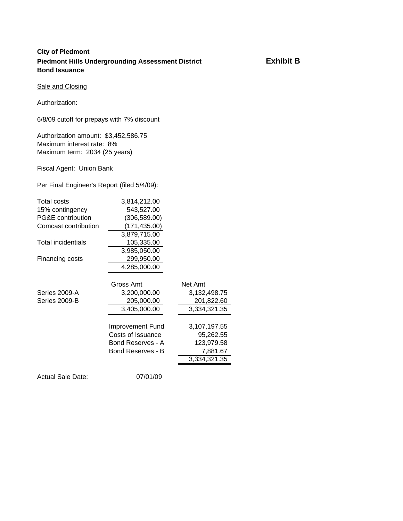# **City of Piedmont Piedmont Hills Undergrounding Assessment District Exhibit B Bond Issuance**

**Sale and Closing** 

Authorization:

6/8/09 cutoff for prepays with 7% discount

Authorization amount: \$3,452,586.75 Maximum interest rate: 8% Maximum term: 2034 (25 years)

Fiscal Agent: Union Bank

Per Final Engineer's Report (filed 5/4/09):

| Total costs                  | 3,814,212.00      |              |
|------------------------------|-------------------|--------------|
| 15% contingency              | 543,527.00        |              |
| <b>PG&amp;E</b> contribution | (306, 589.00)     |              |
| Comcast contribution         | (171, 435.00)     |              |
|                              | 3,879,715.00      |              |
| <b>Total incidentials</b>    | 105,335.00        |              |
|                              | 3,985,050.00      |              |
| Financing costs              | 299,950.00        |              |
|                              | 4,285,000.00      |              |
|                              |                   |              |
|                              | Gross Amt         | Net Amt      |
| Series 2009-A                | 3,200,000.00      | 3,132,498.75 |
| Series 2009-B                | 205,000.00        | 201,822.60   |
|                              | 3,405,000.00      | 3,334,321.35 |
|                              |                   |              |
|                              | Improvement Fund  | 3,107,197.55 |
|                              | Costs of Issuance | 95,262.55    |
|                              | Bond Reserves - A | 123,979.58   |
|                              | Bond Reserves - B | 7,881.67     |
|                              |                   | 3,334,321.35 |
|                              |                   |              |
| <b>Actual Sale Date:</b>     | 07/01/09          |              |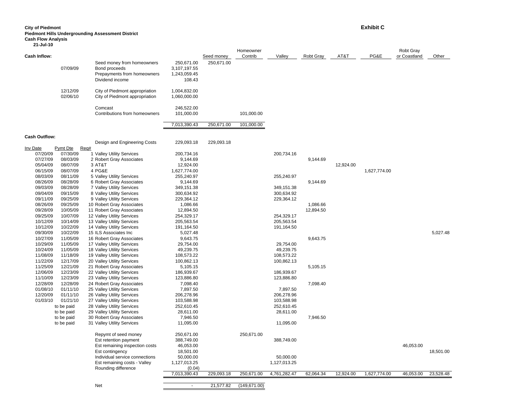#### **City of Piedmont Exhibit C**

#### **Piedmont Hills Undergrounding Assessment District**

**Cash Flow Analysis 21-Jul-10**

|                      |                  |                                |                |            | Homeowner     |              |           |           |              | Robt Gray    |           |
|----------------------|------------------|--------------------------------|----------------|------------|---------------|--------------|-----------|-----------|--------------|--------------|-----------|
| <b>Cash Inflow:</b>  |                  |                                |                | Seed money | Contrib       | Valley       | Robt Gray | AT&T      | PG&E         | or Coastland | Other     |
|                      |                  | Seed money from homeowners     | 250,671.00     | 250,671.00 |               |              |           |           |              |              |           |
|                      | 07/09/09         | Bond proceeds                  | 3,107,197.55   |            |               |              |           |           |              |              |           |
|                      |                  | Prepayments from homeowners    | 1,243,059.45   |            |               |              |           |           |              |              |           |
|                      |                  | Dividend income                | 108.43         |            |               |              |           |           |              |              |           |
|                      |                  |                                |                |            |               |              |           |           |              |              |           |
|                      | 12/12/09         | City of Piedmont appropriation | 1,004,832.00   |            |               |              |           |           |              |              |           |
|                      | 02/06/10         |                                | 1,060,000.00   |            |               |              |           |           |              |              |           |
|                      |                  | City of Piedmont appropriation |                |            |               |              |           |           |              |              |           |
|                      |                  |                                |                |            |               |              |           |           |              |              |           |
|                      |                  | Comcast                        | 246,522.00     |            |               |              |           |           |              |              |           |
|                      |                  | Contributions from homeowners  | 101,000.00     |            | 101,000.00    |              |           |           |              |              |           |
|                      |                  |                                |                |            |               |              |           |           |              |              |           |
|                      |                  |                                | 7,013,390.43   | 250,671.00 | 101,000.00    |              |           |           |              |              |           |
|                      |                  |                                |                |            |               |              |           |           |              |              |           |
| <b>Cash Outflow:</b> |                  |                                |                |            |               |              |           |           |              |              |           |
|                      |                  | Design and Engineering Costs   | 229,093.18     | 229,093.18 |               |              |           |           |              |              |           |
| <b>Inv Date</b>      | Pymt Dte<br>Reg# |                                |                |            |               |              |           |           |              |              |           |
| 07/20/09             | 07/30/09         | 1 Valley Utility Services      | 200,734.16     |            |               | 200,734.16   |           |           |              |              |           |
| 07/27/09             | 08/03/09         | 2 Robert Gray Associates       | 9,144.69       |            |               |              | 9,144.69  |           |              |              |           |
| 05/04/09             | 08/07/09         | 3 AT&T                         | 12,924.00      |            |               |              |           | 12,924.00 |              |              |           |
| 06/15/09             | 08/07/09         | 4 PG&E                         | 1,627,774.00   |            |               |              |           |           | 1,627,774.00 |              |           |
| 08/03/09             | 08/11/09         |                                | 255,240.97     |            |               |              |           |           |              |              |           |
|                      |                  | 5 Valley Utility Services      |                |            |               | 255,240.97   |           |           |              |              |           |
| 08/26/09             | 08/28/09         | 6 Robert Gray Associates       | 9,144.69       |            |               |              | 9,144.69  |           |              |              |           |
| 09/03/09             | 08/28/09         | 7 Valley Utility Services      | 349,151.38     |            |               | 349,151.38   |           |           |              |              |           |
| 09/04/09             | 09/15/09         | 8 Valley Utility Services      | 300,634.92     |            |               | 300,634.92   |           |           |              |              |           |
| 09/11/09             | 09/25/09         | 9 Valley Utility Services      | 229,364.12     |            |               | 229,364.12   |           |           |              |              |           |
| 08/26/09             | 09/25/09         | 10 Robert Gray Associates      | 1,086.66       |            |               |              | 1,086.66  |           |              |              |           |
| 09/28/09             | 10/05/09         | 11 Robert Gray Associates      | 12,894.50      |            |               |              | 12,894.50 |           |              |              |           |
| 09/25/09             | 10/07/09         | 12 Valley Utility Services     | 254,329.17     |            |               | 254,329.17   |           |           |              |              |           |
| 10/12/09             | 10/14/09         | 13 Valley Utility Services     | 205,563.54     |            |               | 205,563.54   |           |           |              |              |           |
| 10/12/09             | 10/22/09         | 14 Valley Utility Services     | 191,164.50     |            |               | 191,164.50   |           |           |              |              |           |
| 09/30/09             | 10/22/09         | 15 ILS Associates Inc          | 5,027.48       |            |               |              |           |           |              |              | 5,027.48  |
| 10/27/09             | 11/05/09         | 16 Robert Gray Associates      | 9,643.75       |            |               |              | 9,643.75  |           |              |              |           |
| 10/29/09             | 11/05/09         | 17 Valley Utility Services     | 29,754.00      |            |               | 29,754.00    |           |           |              |              |           |
| 10/24/09             | 11/05/09         |                                | 49,239.75      |            |               |              |           |           |              |              |           |
|                      |                  | 18 Valley Utility Services     |                |            |               | 49,239.75    |           |           |              |              |           |
| 11/08/09             | 11/18/09         | 19 Valley Utility Services     | 108,573.22     |            |               | 108,573.22   |           |           |              |              |           |
| 11/22/09             | 12/17/09         | 20 Valley Utility Services     | 100,862.13     |            |               | 100,862.13   |           |           |              |              |           |
| 11/25/09             | 12/21/09         | 21 Robert Gray Associates      | 5,105.15       |            |               |              | 5,105.15  |           |              |              |           |
| 12/06/09             | 12/23/09         | 22 Valley Utility Services     | 186,939.67     |            |               | 186,939.67   |           |           |              |              |           |
| 11/10/09             | 12/23/09         | 23 Valley Utility Services     | 123,886.80     |            |               | 123,886.80   |           |           |              |              |           |
| 12/28/09             | 12/28/09         | 24 Robert Gray Associates      | 7,098.40       |            |               |              | 7,098.40  |           |              |              |           |
| 01/08/10             | 01/11/10         | 25 Valley Utility Services     | 7,897.50       |            |               | 7,897.50     |           |           |              |              |           |
| 12/20/09             | 01/11/10         | 26 Valley Utility Services     | 206,278.96     |            |               | 206,278.96   |           |           |              |              |           |
| 01/03/10             | 01/21/10         | 27 Valley Utility Services     | 103,588.98     |            |               | 103,588.98   |           |           |              |              |           |
|                      | to be paid       | 28 Valley Utility Services     | 252,610.45     |            |               | 252,610.45   |           |           |              |              |           |
|                      | to be paid       | 29 Valley Utility Services     | 28,611.00      |            |               | 28,611.00    |           |           |              |              |           |
|                      | to be paid       | 30 Robert Gray Associates      | 7,946.50       |            |               |              | 7,946.50  |           |              |              |           |
|                      | to be paid       | 31 Valley Utility Services     | 11,095.00      |            |               | 11,095.00    |           |           |              |              |           |
|                      |                  |                                |                |            |               |              |           |           |              |              |           |
|                      |                  | Repymt of seed money           | 250,671.00     |            | 250,671.00    |              |           |           |              |              |           |
|                      |                  |                                | 388,749.00     |            |               |              |           |           |              |              |           |
|                      |                  | Est retention payment          |                |            |               | 388,749.00   |           |           |              |              |           |
|                      |                  | Est remaining inspection costs | 46,053.00      |            |               |              |           |           |              | 46,053.00    |           |
|                      |                  | Est contingency                | 18,501.00      |            |               |              |           |           |              |              | 18,501.00 |
|                      |                  | Individual service connections | 50,000.00      |            |               | 50,000.00    |           |           |              |              |           |
|                      |                  | Est remaining costs - Valley   | 1,127,013.25   |            |               | 1,127,013.25 |           |           |              |              |           |
|                      |                  | Rounding difference            | (0.04)         |            |               |              |           |           |              |              |           |
|                      |                  |                                | 7,013,390.43   | 229,093.18 | 250,671.00    | 4,761,282.47 | 62,064.34 | 12,924.00 | 1,627,774.00 | 46,053.00    | 23,528.48 |
|                      |                  |                                |                |            |               |              |           |           |              |              |           |
|                      |                  | Net                            | $\overline{a}$ | 21,577.82  | (149, 671.00) |              |           |           |              |              |           |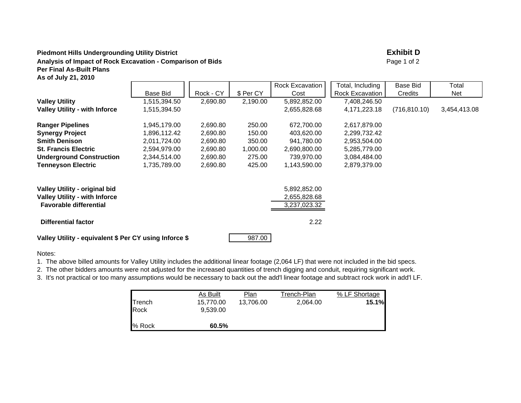#### **Piedmont Hills Undergrounding Utility District Exhibit D** Analysis of Impact of Rock Excavation - Comparison of Bids<br> **Analysis of Impact of Rock Excavation - Comparison of Bids Per Final As-Built PlansAs of July 21, 2010**

|                                      |                                                                  |           |           | <b>Rock Excavation</b> | Total, Including | Base Bid       | Total        |  |
|--------------------------------------|------------------------------------------------------------------|-----------|-----------|------------------------|------------------|----------------|--------------|--|
|                                      | Base Bid                                                         | Rock - CY | \$ Per CY | Cost                   | Rock Excavation  | <b>Credits</b> | Net          |  |
| <b>Valley Utility</b>                | 1,515,394.50                                                     | 2,690.80  | 2,190.00  | 5,892,852.00           | 7,408,246.50     |                |              |  |
| <b>Valley Utility - with Inforce</b> | 1,515,394.50                                                     |           |           | 2,655,828.68           | 4,171,223.18     | (716, 810.10)  | 3,454,413.08 |  |
| <b>Ranger Pipelines</b>              | 1,945,179.00                                                     | 2,690.80  | 250.00    | 672,700.00             | 2,617,879.00     |                |              |  |
| <b>Synergy Project</b>               | 1,896,112.42                                                     | 2,690.80  | 150.00    | 403,620.00             | 2,299,732.42     |                |              |  |
| <b>Smith Denison</b>                 | 2,011,724.00                                                     | 2,690.80  | 350.00    | 941,780.00             | 2,953,504.00     |                |              |  |
| <b>St. Francis Electric</b>          | 2,594,979.00                                                     | 2,690.80  | 1,000.00  | 2,690,800.00           | 5,285,779.00     |                |              |  |
| <b>Underground Construction</b>      | 2,344,514.00                                                     | 2,690.80  | 275.00    | 739,970.00             | 3,084,484.00     |                |              |  |
| <b>Tenneyson Electric</b>            | 1,735,789.00                                                     | 2,690.80  | 425.00    | 1,143,590.00           | 2,879,379.00     |                |              |  |
|                                      |                                                                  |           |           |                        |                  |                |              |  |
| Valley Utility - original bid        |                                                                  |           |           | 5,892,852.00           |                  |                |              |  |
| <b>Valley Utility - with Inforce</b> |                                                                  |           |           | 2,655,828.68           |                  |                |              |  |
| <b>Favorable differential</b>        |                                                                  |           |           | 3,237,023.32           |                  |                |              |  |
| <b>Differential factor</b>           |                                                                  |           |           | 2.22                   |                  |                |              |  |
|                                      | Valley Utility - equivalent \$ Per CY using Inforce \$<br>987.00 |           |           |                        |                  |                |              |  |

#### Notes:

1. The above billed amounts for Valley Utility includes the additional linear footage (2,064 LF) that were not included in the bid specs.

2. The other bidders amounts were not adjusted for the increased quantities of trench digging and conduit, requiring significant work.

3. It's not practical or too many assumptions would be necessary to back out the add'l linear footage and subtract rock work in add'l LF.

| As Built  | Plan      | Trench-Plan | % LF Shortage |
|-----------|-----------|-------------|---------------|
| 15,770.00 | 13,706.00 | 2,064.00    | 15.1%         |
| 9.539.00  |           |             |               |
|           |           |             |               |
| 60.5%     |           |             |               |
|           |           |             |               |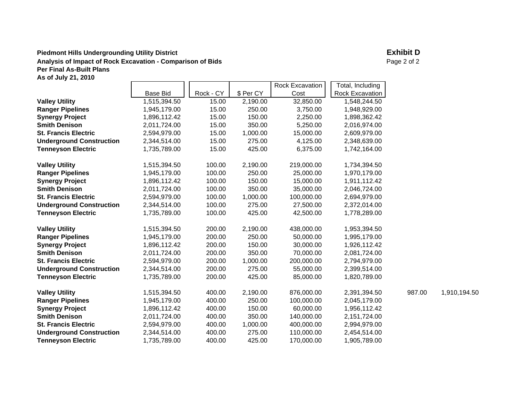#### **Piedmont Hills Undergrounding Utility District Exhibit D** Analysis of Impact of Rock Excavation - Comparison of Bids **Per Final As-Built Plans As of July 21, 2010**

|                                 |                 |           |           | <b>Rock Excavation</b> | Total, Including |        |              |
|---------------------------------|-----------------|-----------|-----------|------------------------|------------------|--------|--------------|
|                                 | <b>Base Bid</b> | Rock - CY | \$ Per CY | Cost                   | Rock Excavation  |        |              |
| <b>Valley Utility</b>           | 1,515,394.50    | 15.00     | 2,190.00  | 32,850.00              | 1,548,244.50     |        |              |
| <b>Ranger Pipelines</b>         | 1,945,179.00    | 15.00     | 250.00    | 3,750.00               | 1,948,929.00     |        |              |
| <b>Synergy Project</b>          | 1,896,112.42    | 15.00     | 150.00    | 2,250.00               | 1,898,362.42     |        |              |
| <b>Smith Denison</b>            | 2,011,724.00    | 15.00     | 350.00    | 5,250.00               | 2,016,974.00     |        |              |
| <b>St. Francis Electric</b>     | 2,594,979.00    | 15.00     | 1,000.00  | 15,000.00              | 2,609,979.00     |        |              |
| <b>Underground Construction</b> | 2,344,514.00    | 15.00     | 275.00    | 4,125.00               | 2,348,639.00     |        |              |
| <b>Tenneyson Electric</b>       | 1,735,789.00    | 15.00     | 425.00    | 6,375.00               | 1,742,164.00     |        |              |
| <b>Valley Utility</b>           | 1,515,394.50    | 100.00    | 2,190.00  | 219,000.00             | 1,734,394.50     |        |              |
| <b>Ranger Pipelines</b>         | 1,945,179.00    | 100.00    | 250.00    | 25,000.00              | 1,970,179.00     |        |              |
| <b>Synergy Project</b>          | 1,896,112.42    | 100.00    | 150.00    | 15,000.00              | 1,911,112.42     |        |              |
| <b>Smith Denison</b>            | 2,011,724.00    | 100.00    | 350.00    | 35,000.00              | 2,046,724.00     |        |              |
| <b>St. Francis Electric</b>     | 2,594,979.00    | 100.00    | 1,000.00  | 100,000.00             | 2,694,979.00     |        |              |
| <b>Underground Construction</b> | 2,344,514.00    | 100.00    | 275.00    | 27,500.00              | 2,372,014.00     |        |              |
| <b>Tenneyson Electric</b>       | 1,735,789.00    | 100.00    | 425.00    | 42,500.00              | 1,778,289.00     |        |              |
| <b>Valley Utility</b>           | 1,515,394.50    | 200.00    | 2,190.00  | 438,000.00             | 1,953,394.50     |        |              |
| <b>Ranger Pipelines</b>         | 1,945,179.00    | 200.00    | 250.00    | 50,000.00              | 1,995,179.00     |        |              |
| <b>Synergy Project</b>          | 1,896,112.42    | 200.00    | 150.00    | 30,000.00              | 1,926,112.42     |        |              |
| <b>Smith Denison</b>            | 2,011,724.00    | 200.00    | 350.00    | 70,000.00              | 2,081,724.00     |        |              |
| <b>St. Francis Electric</b>     | 2,594,979.00    | 200.00    | 1,000.00  | 200,000.00             | 2,794,979.00     |        |              |
| <b>Underground Construction</b> | 2,344,514.00    | 200.00    | 275.00    | 55,000.00              | 2,399,514.00     |        |              |
| <b>Tenneyson Electric</b>       | 1,735,789.00    | 200.00    | 425.00    | 85,000.00              | 1,820,789.00     |        |              |
| <b>Valley Utility</b>           | 1,515,394.50    | 400.00    | 2,190.00  | 876,000.00             | 2,391,394.50     | 987.00 | 1,910,194.50 |
| <b>Ranger Pipelines</b>         | 1,945,179.00    | 400.00    | 250.00    | 100,000.00             | 2,045,179.00     |        |              |
| <b>Synergy Project</b>          | 1,896,112.42    | 400.00    | 150.00    | 60,000.00              | 1,956,112.42     |        |              |
| <b>Smith Denison</b>            | 2,011,724.00    | 400.00    | 350.00    | 140,000.00             | 2,151,724.00     |        |              |
| <b>St. Francis Electric</b>     | 2,594,979.00    | 400.00    | 1,000.00  | 400,000.00             | 2,994,979.00     |        |              |
| <b>Underground Construction</b> | 2,344,514.00    | 400.00    | 275.00    | 110,000.00             | 2,454,514.00     |        |              |
| <b>Tenneyson Electric</b>       | 1,735,789.00    | 400.00    | 425.00    | 170,000.00             | 1,905,789.00     |        |              |